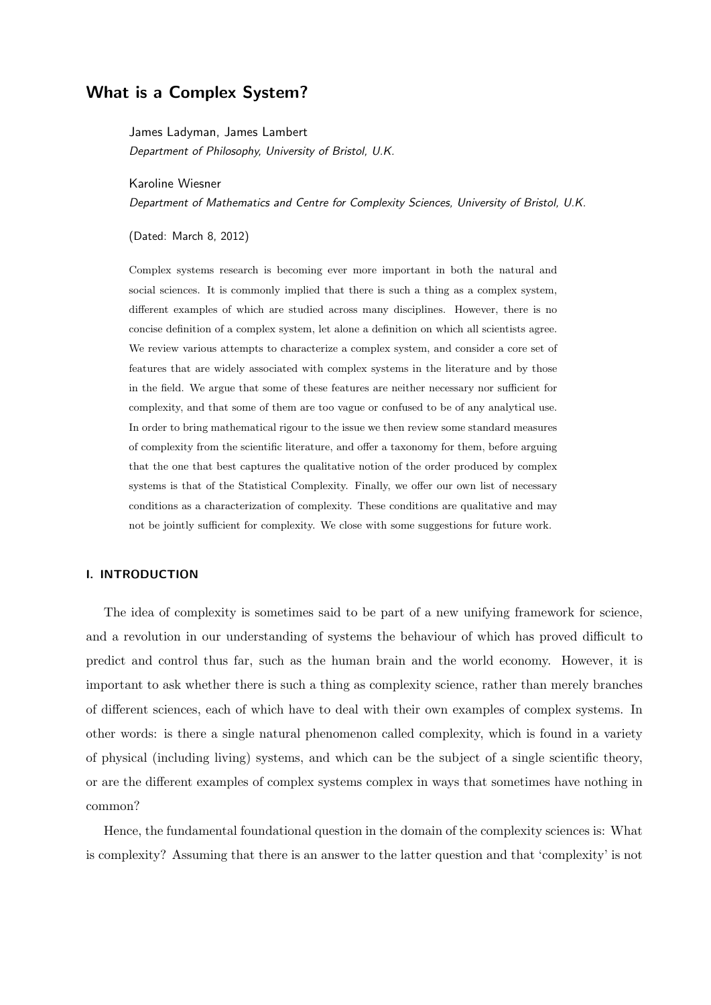## What is a Complex System?

James Ladyman, James Lambert

Department of Philosophy, University of Bristol, U.K.

Karoline Wiesner

Department of Mathematics and Centre for Complexity Sciences, University of Bristol, U.K.

(Dated: March 8, 2012)

Complex systems research is becoming ever more important in both the natural and social sciences. It is commonly implied that there is such a thing as a complex system, different examples of which are studied across many disciplines. However, there is no concise definition of a complex system, let alone a definition on which all scientists agree. We review various attempts to characterize a complex system, and consider a core set of features that are widely associated with complex systems in the literature and by those in the field. We argue that some of these features are neither necessary nor sufficient for complexity, and that some of them are too vague or confused to be of any analytical use. In order to bring mathematical rigour to the issue we then review some standard measures of complexity from the scientific literature, and offer a taxonomy for them, before arguing that the one that best captures the qualitative notion of the order produced by complex systems is that of the Statistical Complexity. Finally, we offer our own list of necessary conditions as a characterization of complexity. These conditions are qualitative and may not be jointly sufficient for complexity. We close with some suggestions for future work.

## I. INTRODUCTION

The idea of complexity is sometimes said to be part of a new unifying framework for science, and a revolution in our understanding of systems the behaviour of which has proved difficult to predict and control thus far, such as the human brain and the world economy. However, it is important to ask whether there is such a thing as complexity science, rather than merely branches of different sciences, each of which have to deal with their own examples of complex systems. In other words: is there a single natural phenomenon called complexity, which is found in a variety of physical (including living) systems, and which can be the subject of a single scientific theory, or are the different examples of complex systems complex in ways that sometimes have nothing in common?

Hence, the fundamental foundational question in the domain of the complexity sciences is: What is complexity? Assuming that there is an answer to the latter question and that 'complexity' is not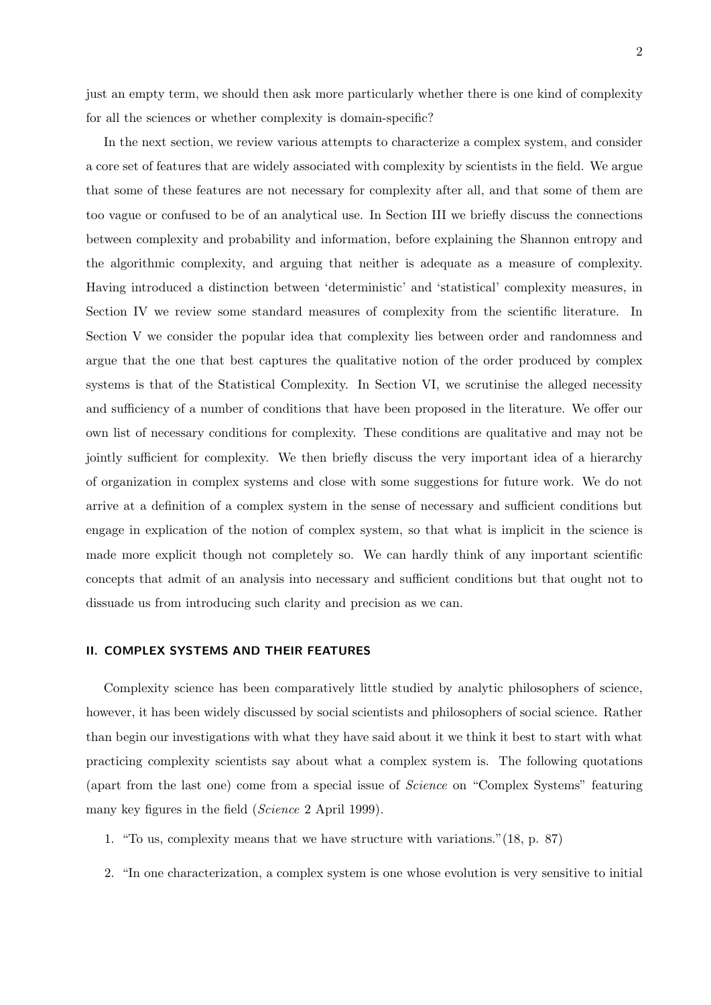just an empty term, we should then ask more particularly whether there is one kind of complexity for all the sciences or whether complexity is domain-specific?

In the next section, we review various attempts to characterize a complex system, and consider a core set of features that are widely associated with complexity by scientists in the field. We argue that some of these features are not necessary for complexity after all, and that some of them are too vague or confused to be of an analytical use. In Section III we briefly discuss the connections between complexity and probability and information, before explaining the Shannon entropy and the algorithmic complexity, and arguing that neither is adequate as a measure of complexity. Having introduced a distinction between 'deterministic' and 'statistical' complexity measures, in Section IV we review some standard measures of complexity from the scientific literature. In Section V we consider the popular idea that complexity lies between order and randomness and argue that the one that best captures the qualitative notion of the order produced by complex systems is that of the Statistical Complexity. In Section VI, we scrutinise the alleged necessity and sufficiency of a number of conditions that have been proposed in the literature. We offer our own list of necessary conditions for complexity. These conditions are qualitative and may not be jointly sufficient for complexity. We then briefly discuss the very important idea of a hierarchy of organization in complex systems and close with some suggestions for future work. We do not arrive at a definition of a complex system in the sense of necessary and sufficient conditions but engage in explication of the notion of complex system, so that what is implicit in the science is made more explicit though not completely so. We can hardly think of any important scientific concepts that admit of an analysis into necessary and sufficient conditions but that ought not to dissuade us from introducing such clarity and precision as we can.

## II. COMPLEX SYSTEMS AND THEIR FEATURES

Complexity science has been comparatively little studied by analytic philosophers of science, however, it has been widely discussed by social scientists and philosophers of social science. Rather than begin our investigations with what they have said about it we think it best to start with what practicing complexity scientists say about what a complex system is. The following quotations (apart from the last one) come from a special issue of Science on "Complex Systems" featuring many key figures in the field (*Science* 2 April 1999).

1. "To us, complexity means that we have structure with variations."(18, p. 87)

2. "In one characterization, a complex system is one whose evolution is very sensitive to initial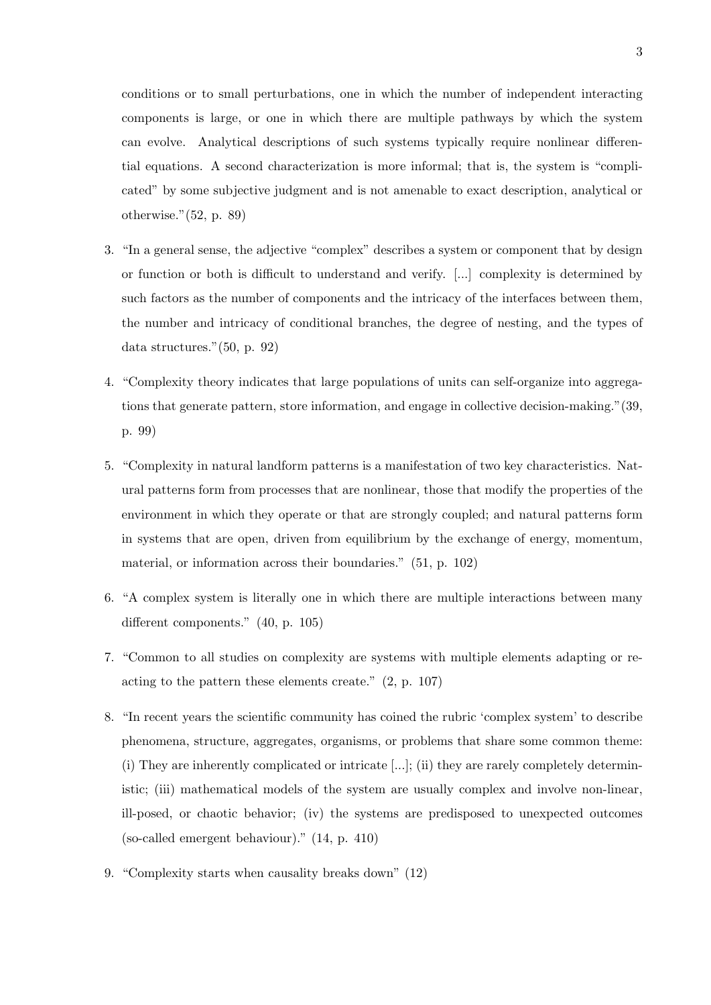conditions or to small perturbations, one in which the number of independent interacting components is large, or one in which there are multiple pathways by which the system can evolve. Analytical descriptions of such systems typically require nonlinear differential equations. A second characterization is more informal; that is, the system is "complicated" by some subjective judgment and is not amenable to exact description, analytical or otherwise."(52, p. 89)

- 3. "In a general sense, the adjective "complex" describes a system or component that by design or function or both is difficult to understand and verify. [...] complexity is determined by such factors as the number of components and the intricacy of the interfaces between them, the number and intricacy of conditional branches, the degree of nesting, and the types of data structures."(50, p. 92)
- 4. "Complexity theory indicates that large populations of units can self-organize into aggregations that generate pattern, store information, and engage in collective decision-making."(39, p. 99)
- 5. "Complexity in natural landform patterns is a manifestation of two key characteristics. Natural patterns form from processes that are nonlinear, those that modify the properties of the environment in which they operate or that are strongly coupled; and natural patterns form in systems that are open, driven from equilibrium by the exchange of energy, momentum, material, or information across their boundaries." (51, p. 102)
- 6. "A complex system is literally one in which there are multiple interactions between many different components." (40, p. 105)
- 7. "Common to all studies on complexity are systems with multiple elements adapting or reacting to the pattern these elements create." (2, p. 107)
- 8. "In recent years the scientific community has coined the rubric 'complex system' to describe phenomena, structure, aggregates, organisms, or problems that share some common theme: (i) They are inherently complicated or intricate [...]; (ii) they are rarely completely deterministic; (iii) mathematical models of the system are usually complex and involve non-linear, ill-posed, or chaotic behavior; (iv) the systems are predisposed to unexpected outcomes (so-called emergent behaviour)." (14, p. 410)
- 9. "Complexity starts when causality breaks down" (12)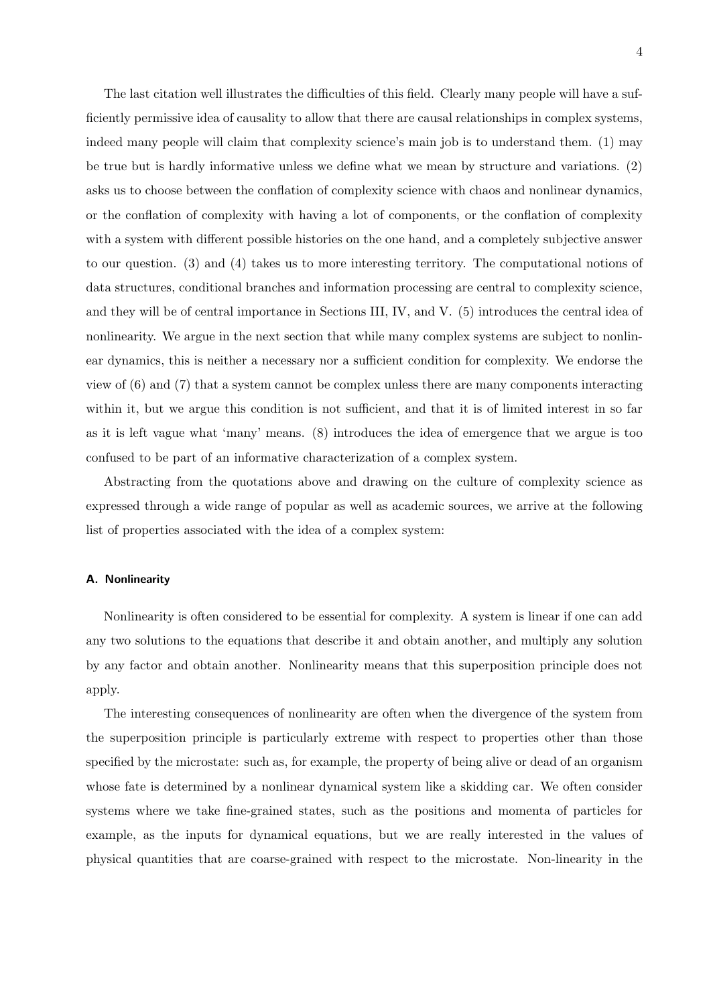The last citation well illustrates the difficulties of this field. Clearly many people will have a sufficiently permissive idea of causality to allow that there are causal relationships in complex systems, indeed many people will claim that complexity science's main job is to understand them. (1) may be true but is hardly informative unless we define what we mean by structure and variations. (2) asks us to choose between the conflation of complexity science with chaos and nonlinear dynamics, or the conflation of complexity with having a lot of components, or the conflation of complexity with a system with different possible histories on the one hand, and a completely subjective answer to our question. (3) and (4) takes us to more interesting territory. The computational notions of data structures, conditional branches and information processing are central to complexity science, and they will be of central importance in Sections III, IV, and V. (5) introduces the central idea of nonlinearity. We argue in the next section that while many complex systems are subject to nonlinear dynamics, this is neither a necessary nor a sufficient condition for complexity. We endorse the view of (6) and (7) that a system cannot be complex unless there are many components interacting within it, but we argue this condition is not sufficient, and that it is of limited interest in so far as it is left vague what 'many' means. (8) introduces the idea of emergence that we argue is too confused to be part of an informative characterization of a complex system.

Abstracting from the quotations above and drawing on the culture of complexity science as expressed through a wide range of popular as well as academic sources, we arrive at the following list of properties associated with the idea of a complex system:

#### A. Nonlinearity

Nonlinearity is often considered to be essential for complexity. A system is linear if one can add any two solutions to the equations that describe it and obtain another, and multiply any solution by any factor and obtain another. Nonlinearity means that this superposition principle does not apply.

The interesting consequences of nonlinearity are often when the divergence of the system from the superposition principle is particularly extreme with respect to properties other than those specified by the microstate: such as, for example, the property of being alive or dead of an organism whose fate is determined by a nonlinear dynamical system like a skidding car. We often consider systems where we take fine-grained states, such as the positions and momenta of particles for example, as the inputs for dynamical equations, but we are really interested in the values of physical quantities that are coarse-grained with respect to the microstate. Non-linearity in the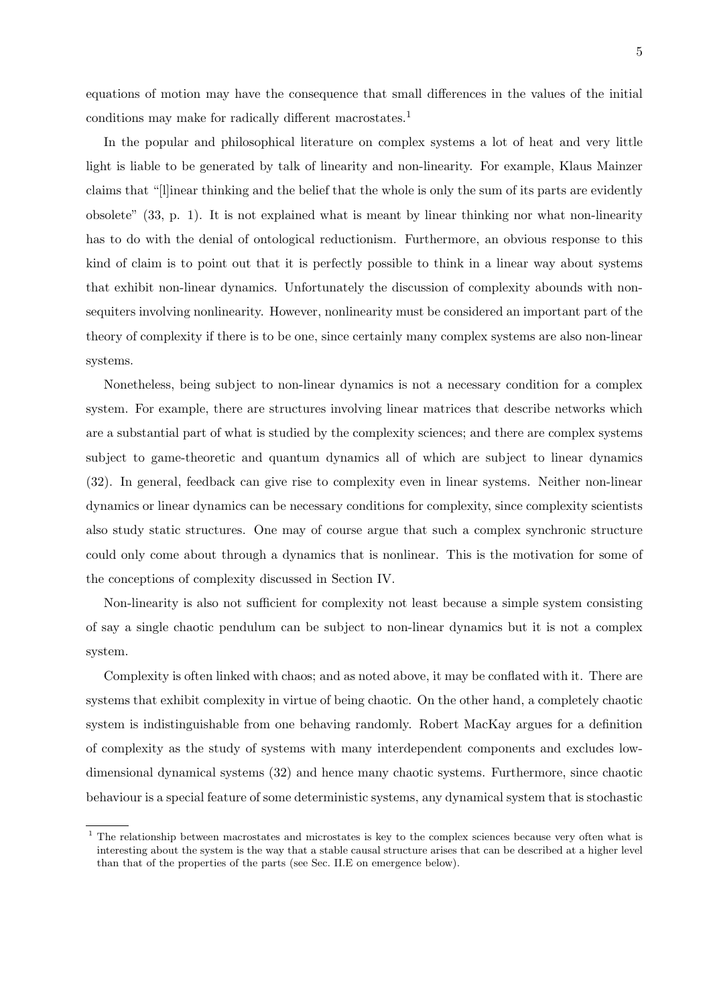equations of motion may have the consequence that small differences in the values of the initial conditions may make for radically different macrostates.<sup>1</sup>

In the popular and philosophical literature on complex systems a lot of heat and very little light is liable to be generated by talk of linearity and non-linearity. For example, Klaus Mainzer claims that "[l]inear thinking and the belief that the whole is only the sum of its parts are evidently obsolete" (33, p. 1). It is not explained what is meant by linear thinking nor what non-linearity has to do with the denial of ontological reductionism. Furthermore, an obvious response to this kind of claim is to point out that it is perfectly possible to think in a linear way about systems that exhibit non-linear dynamics. Unfortunately the discussion of complexity abounds with nonsequiters involving nonlinearity. However, nonlinearity must be considered an important part of the theory of complexity if there is to be one, since certainly many complex systems are also non-linear systems.

Nonetheless, being subject to non-linear dynamics is not a necessary condition for a complex system. For example, there are structures involving linear matrices that describe networks which are a substantial part of what is studied by the complexity sciences; and there are complex systems subject to game-theoretic and quantum dynamics all of which are subject to linear dynamics (32). In general, feedback can give rise to complexity even in linear systems. Neither non-linear dynamics or linear dynamics can be necessary conditions for complexity, since complexity scientists also study static structures. One may of course argue that such a complex synchronic structure could only come about through a dynamics that is nonlinear. This is the motivation for some of the conceptions of complexity discussed in Section IV.

Non-linearity is also not sufficient for complexity not least because a simple system consisting of say a single chaotic pendulum can be subject to non-linear dynamics but it is not a complex system.

Complexity is often linked with chaos; and as noted above, it may be conflated with it. There are systems that exhibit complexity in virtue of being chaotic. On the other hand, a completely chaotic system is indistinguishable from one behaving randomly. Robert MacKay argues for a definition of complexity as the study of systems with many interdependent components and excludes lowdimensional dynamical systems (32) and hence many chaotic systems. Furthermore, since chaotic behaviour is a special feature of some deterministic systems, any dynamical system that is stochastic

<sup>&</sup>lt;sup>1</sup> The relationship between macrostates and microstates is key to the complex sciences because very often what is interesting about the system is the way that a stable causal structure arises that can be described at a higher level than that of the properties of the parts (see Sec. II.E on emergence below).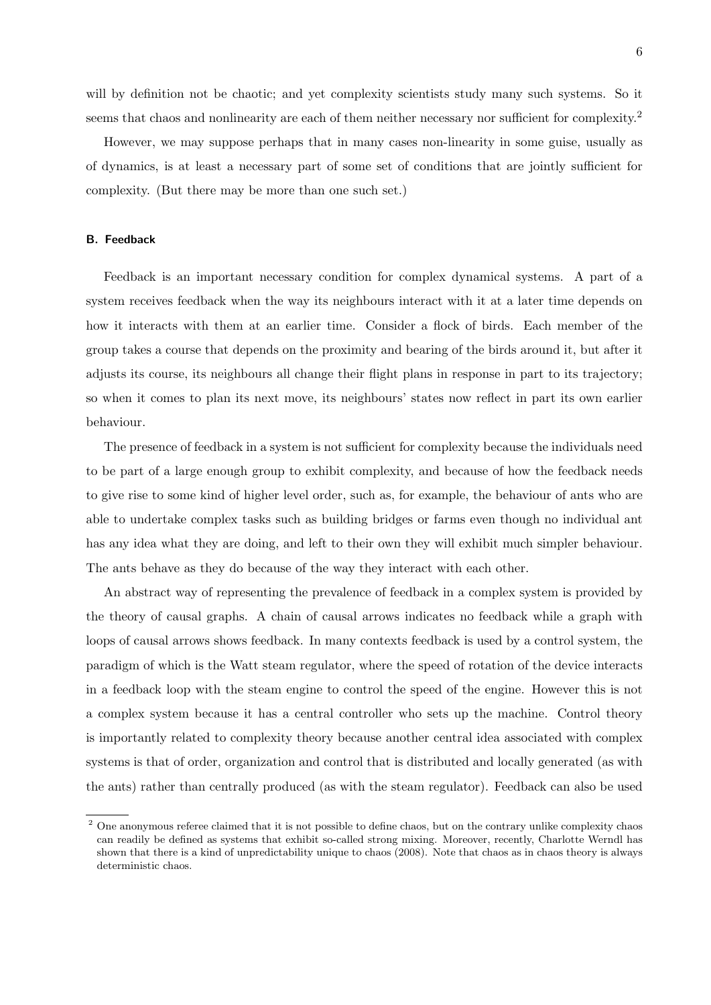will by definition not be chaotic; and yet complexity scientists study many such systems. So it seems that chaos and nonlinearity are each of them neither necessary nor sufficient for complexity.<sup>2</sup>

However, we may suppose perhaps that in many cases non-linearity in some guise, usually as of dynamics, is at least a necessary part of some set of conditions that are jointly sufficient for complexity. (But there may be more than one such set.)

#### B. Feedback

Feedback is an important necessary condition for complex dynamical systems. A part of a system receives feedback when the way its neighbours interact with it at a later time depends on how it interacts with them at an earlier time. Consider a flock of birds. Each member of the group takes a course that depends on the proximity and bearing of the birds around it, but after it adjusts its course, its neighbours all change their flight plans in response in part to its trajectory; so when it comes to plan its next move, its neighbours' states now reflect in part its own earlier behaviour.

The presence of feedback in a system is not sufficient for complexity because the individuals need to be part of a large enough group to exhibit complexity, and because of how the feedback needs to give rise to some kind of higher level order, such as, for example, the behaviour of ants who are able to undertake complex tasks such as building bridges or farms even though no individual ant has any idea what they are doing, and left to their own they will exhibit much simpler behaviour. The ants behave as they do because of the way they interact with each other.

An abstract way of representing the prevalence of feedback in a complex system is provided by the theory of causal graphs. A chain of causal arrows indicates no feedback while a graph with loops of causal arrows shows feedback. In many contexts feedback is used by a control system, the paradigm of which is the Watt steam regulator, where the speed of rotation of the device interacts in a feedback loop with the steam engine to control the speed of the engine. However this is not a complex system because it has a central controller who sets up the machine. Control theory is importantly related to complexity theory because another central idea associated with complex systems is that of order, organization and control that is distributed and locally generated (as with the ants) rather than centrally produced (as with the steam regulator). Feedback can also be used

 $2$  One anonymous referee claimed that it is not possible to define chaos, but on the contrary unlike complexity chaos can readily be defined as systems that exhibit so-called strong mixing. Moreover, recently, Charlotte Werndl has shown that there is a kind of unpredictability unique to chaos (2008). Note that chaos as in chaos theory is always deterministic chaos.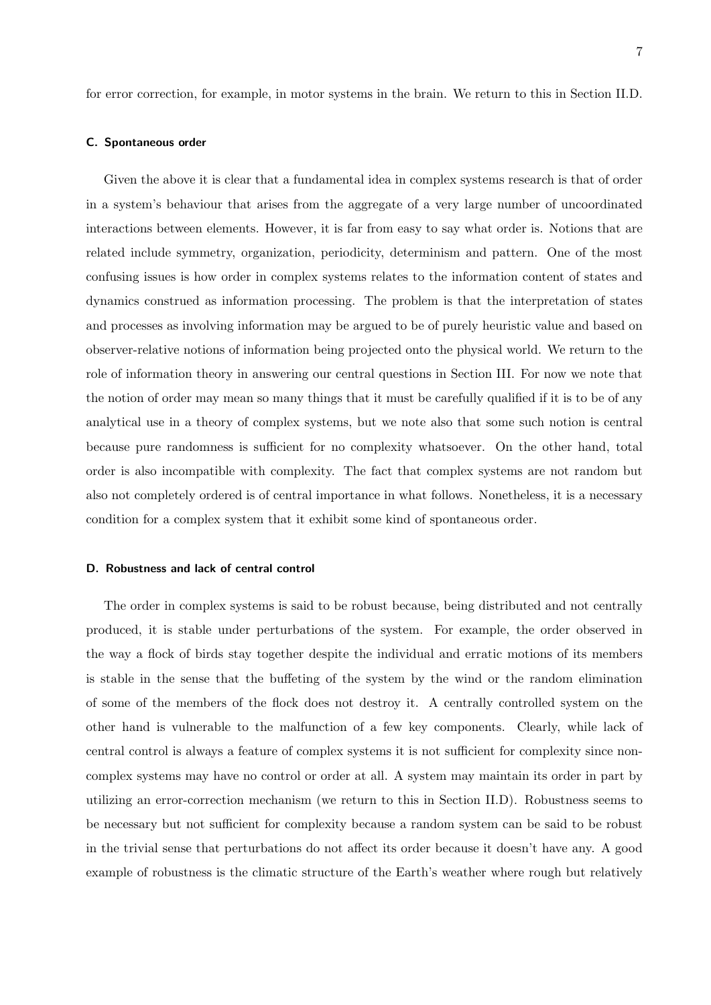for error correction, for example, in motor systems in the brain. We return to this in Section II.D.

#### C. Spontaneous order

Given the above it is clear that a fundamental idea in complex systems research is that of order in a system's behaviour that arises from the aggregate of a very large number of uncoordinated interactions between elements. However, it is far from easy to say what order is. Notions that are related include symmetry, organization, periodicity, determinism and pattern. One of the most confusing issues is how order in complex systems relates to the information content of states and dynamics construed as information processing. The problem is that the interpretation of states and processes as involving information may be argued to be of purely heuristic value and based on observer-relative notions of information being projected onto the physical world. We return to the role of information theory in answering our central questions in Section III. For now we note that the notion of order may mean so many things that it must be carefully qualified if it is to be of any analytical use in a theory of complex systems, but we note also that some such notion is central because pure randomness is sufficient for no complexity whatsoever. On the other hand, total order is also incompatible with complexity. The fact that complex systems are not random but also not completely ordered is of central importance in what follows. Nonetheless, it is a necessary condition for a complex system that it exhibit some kind of spontaneous order.

### D. Robustness and lack of central control

The order in complex systems is said to be robust because, being distributed and not centrally produced, it is stable under perturbations of the system. For example, the order observed in the way a flock of birds stay together despite the individual and erratic motions of its members is stable in the sense that the buffeting of the system by the wind or the random elimination of some of the members of the flock does not destroy it. A centrally controlled system on the other hand is vulnerable to the malfunction of a few key components. Clearly, while lack of central control is always a feature of complex systems it is not sufficient for complexity since noncomplex systems may have no control or order at all. A system may maintain its order in part by utilizing an error-correction mechanism (we return to this in Section II.D). Robustness seems to be necessary but not sufficient for complexity because a random system can be said to be robust in the trivial sense that perturbations do not affect its order because it doesn't have any. A good example of robustness is the climatic structure of the Earth's weather where rough but relatively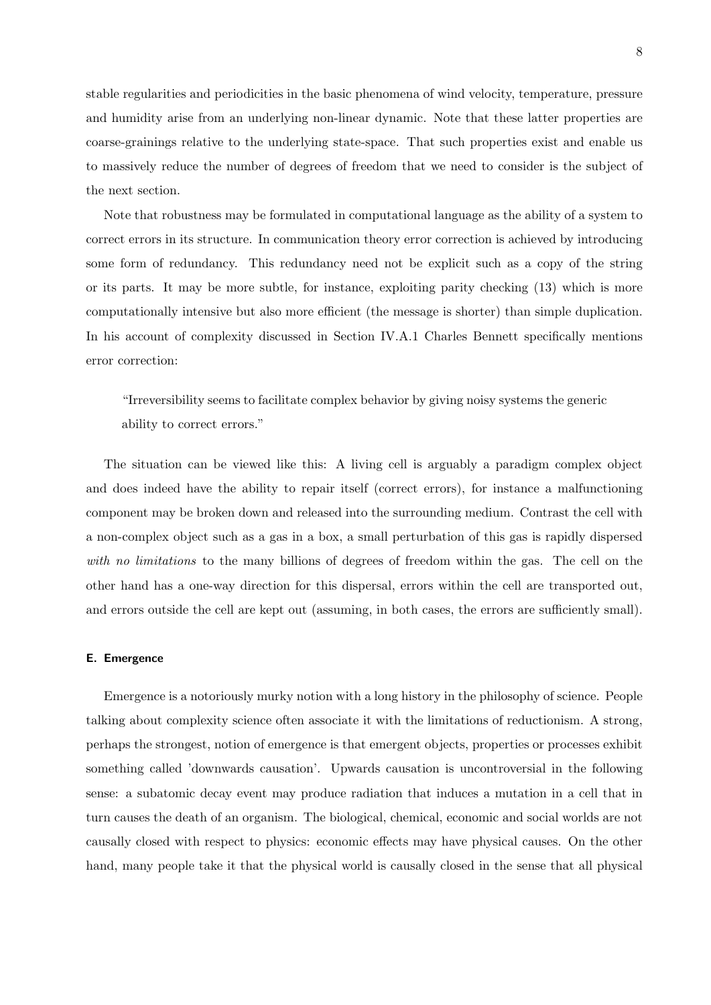stable regularities and periodicities in the basic phenomena of wind velocity, temperature, pressure and humidity arise from an underlying non-linear dynamic. Note that these latter properties are coarse-grainings relative to the underlying state-space. That such properties exist and enable us to massively reduce the number of degrees of freedom that we need to consider is the subject of the next section.

Note that robustness may be formulated in computational language as the ability of a system to correct errors in its structure. In communication theory error correction is achieved by introducing some form of redundancy. This redundancy need not be explicit such as a copy of the string or its parts. It may be more subtle, for instance, exploiting parity checking (13) which is more computationally intensive but also more efficient (the message is shorter) than simple duplication. In his account of complexity discussed in Section IV.A.1 Charles Bennett specifically mentions error correction:

"Irreversibility seems to facilitate complex behavior by giving noisy systems the generic ability to correct errors."

The situation can be viewed like this: A living cell is arguably a paradigm complex object and does indeed have the ability to repair itself (correct errors), for instance a malfunctioning component may be broken down and released into the surrounding medium. Contrast the cell with a non-complex object such as a gas in a box, a small perturbation of this gas is rapidly dispersed with no limitations to the many billions of degrees of freedom within the gas. The cell on the other hand has a one-way direction for this dispersal, errors within the cell are transported out, and errors outside the cell are kept out (assuming, in both cases, the errors are sufficiently small).

#### E. Emergence

Emergence is a notoriously murky notion with a long history in the philosophy of science. People talking about complexity science often associate it with the limitations of reductionism. A strong, perhaps the strongest, notion of emergence is that emergent objects, properties or processes exhibit something called 'downwards causation'. Upwards causation is uncontroversial in the following sense: a subatomic decay event may produce radiation that induces a mutation in a cell that in turn causes the death of an organism. The biological, chemical, economic and social worlds are not causally closed with respect to physics: economic effects may have physical causes. On the other hand, many people take it that the physical world is causally closed in the sense that all physical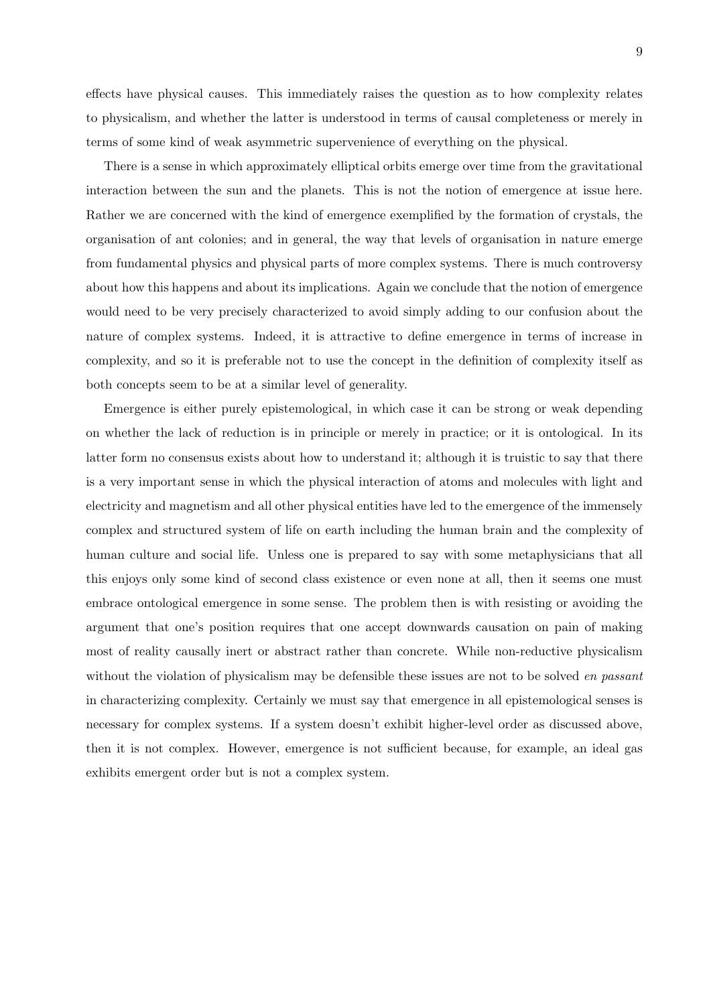effects have physical causes. This immediately raises the question as to how complexity relates to physicalism, and whether the latter is understood in terms of causal completeness or merely in terms of some kind of weak asymmetric supervenience of everything on the physical.

There is a sense in which approximately elliptical orbits emerge over time from the gravitational interaction between the sun and the planets. This is not the notion of emergence at issue here. Rather we are concerned with the kind of emergence exemplified by the formation of crystals, the organisation of ant colonies; and in general, the way that levels of organisation in nature emerge from fundamental physics and physical parts of more complex systems. There is much controversy about how this happens and about its implications. Again we conclude that the notion of emergence would need to be very precisely characterized to avoid simply adding to our confusion about the nature of complex systems. Indeed, it is attractive to define emergence in terms of increase in complexity, and so it is preferable not to use the concept in the definition of complexity itself as both concepts seem to be at a similar level of generality.

Emergence is either purely epistemological, in which case it can be strong or weak depending on whether the lack of reduction is in principle or merely in practice; or it is ontological. In its latter form no consensus exists about how to understand it; although it is truistic to say that there is a very important sense in which the physical interaction of atoms and molecules with light and electricity and magnetism and all other physical entities have led to the emergence of the immensely complex and structured system of life on earth including the human brain and the complexity of human culture and social life. Unless one is prepared to say with some metaphysicians that all this enjoys only some kind of second class existence or even none at all, then it seems one must embrace ontological emergence in some sense. The problem then is with resisting or avoiding the argument that one's position requires that one accept downwards causation on pain of making most of reality causally inert or abstract rather than concrete. While non-reductive physicalism without the violation of physicalism may be defensible these issues are not to be solved *en passant* in characterizing complexity. Certainly we must say that emergence in all epistemological senses is necessary for complex systems. If a system doesn't exhibit higher-level order as discussed above, then it is not complex. However, emergence is not sufficient because, for example, an ideal gas exhibits emergent order but is not a complex system.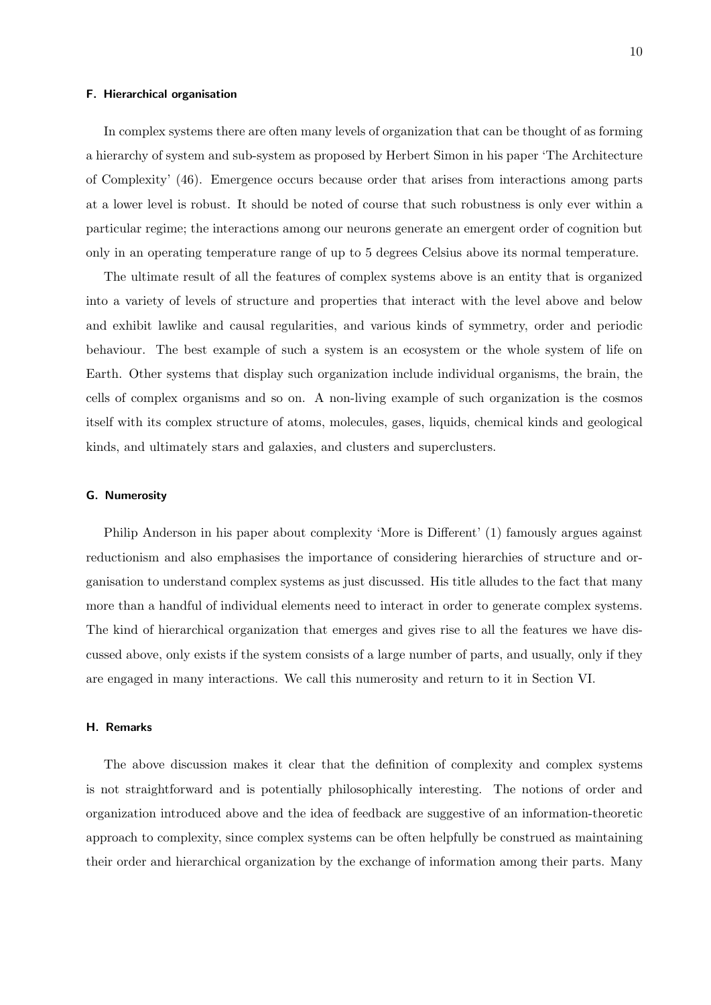#### F. Hierarchical organisation

In complex systems there are often many levels of organization that can be thought of as forming a hierarchy of system and sub-system as proposed by Herbert Simon in his paper 'The Architecture of Complexity' (46). Emergence occurs because order that arises from interactions among parts at a lower level is robust. It should be noted of course that such robustness is only ever within a particular regime; the interactions among our neurons generate an emergent order of cognition but only in an operating temperature range of up to 5 degrees Celsius above its normal temperature.

The ultimate result of all the features of complex systems above is an entity that is organized into a variety of levels of structure and properties that interact with the level above and below and exhibit lawlike and causal regularities, and various kinds of symmetry, order and periodic behaviour. The best example of such a system is an ecosystem or the whole system of life on Earth. Other systems that display such organization include individual organisms, the brain, the cells of complex organisms and so on. A non-living example of such organization is the cosmos itself with its complex structure of atoms, molecules, gases, liquids, chemical kinds and geological kinds, and ultimately stars and galaxies, and clusters and superclusters.

#### G. Numerosity

Philip Anderson in his paper about complexity 'More is Different' (1) famously argues against reductionism and also emphasises the importance of considering hierarchies of structure and organisation to understand complex systems as just discussed. His title alludes to the fact that many more than a handful of individual elements need to interact in order to generate complex systems. The kind of hierarchical organization that emerges and gives rise to all the features we have discussed above, only exists if the system consists of a large number of parts, and usually, only if they are engaged in many interactions. We call this numerosity and return to it in Section VI.

## H. Remarks

The above discussion makes it clear that the definition of complexity and complex systems is not straightforward and is potentially philosophically interesting. The notions of order and organization introduced above and the idea of feedback are suggestive of an information-theoretic approach to complexity, since complex systems can be often helpfully be construed as maintaining their order and hierarchical organization by the exchange of information among their parts. Many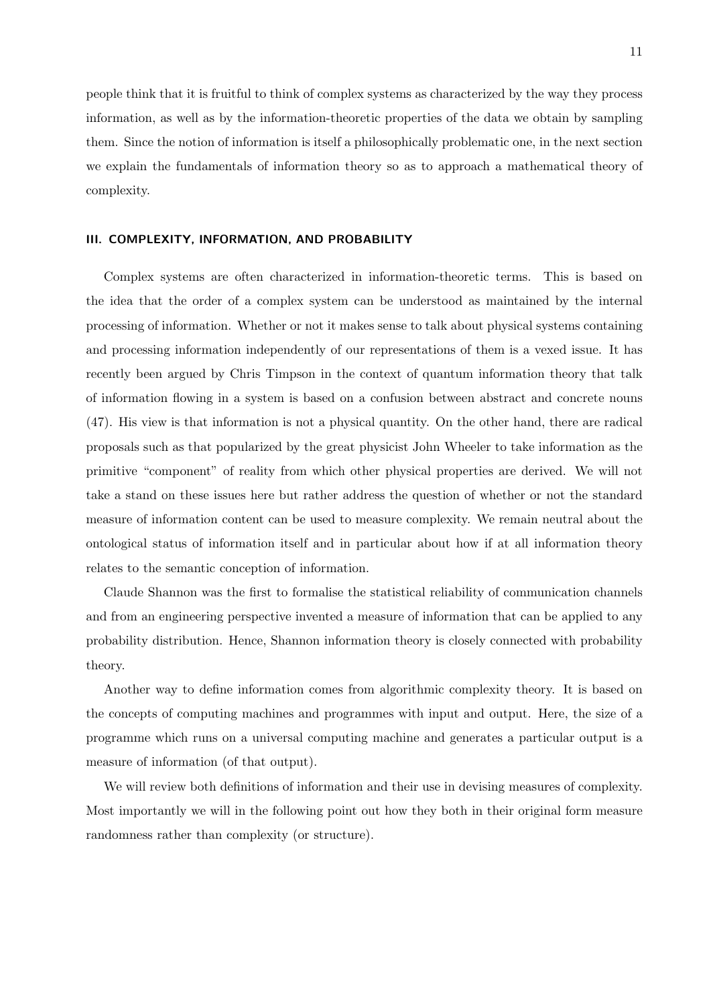people think that it is fruitful to think of complex systems as characterized by the way they process information, as well as by the information-theoretic properties of the data we obtain by sampling them. Since the notion of information is itself a philosophically problematic one, in the next section we explain the fundamentals of information theory so as to approach a mathematical theory of complexity.

## III. COMPLEXITY, INFORMATION, AND PROBABILITY

Complex systems are often characterized in information-theoretic terms. This is based on the idea that the order of a complex system can be understood as maintained by the internal processing of information. Whether or not it makes sense to talk about physical systems containing and processing information independently of our representations of them is a vexed issue. It has recently been argued by Chris Timpson in the context of quantum information theory that talk of information flowing in a system is based on a confusion between abstract and concrete nouns (47). His view is that information is not a physical quantity. On the other hand, there are radical proposals such as that popularized by the great physicist John Wheeler to take information as the primitive "component" of reality from which other physical properties are derived. We will not take a stand on these issues here but rather address the question of whether or not the standard measure of information content can be used to measure complexity. We remain neutral about the ontological status of information itself and in particular about how if at all information theory relates to the semantic conception of information.

Claude Shannon was the first to formalise the statistical reliability of communication channels and from an engineering perspective invented a measure of information that can be applied to any probability distribution. Hence, Shannon information theory is closely connected with probability theory.

Another way to define information comes from algorithmic complexity theory. It is based on the concepts of computing machines and programmes with input and output. Here, the size of a programme which runs on a universal computing machine and generates a particular output is a measure of information (of that output).

We will review both definitions of information and their use in devising measures of complexity. Most importantly we will in the following point out how they both in their original form measure randomness rather than complexity (or structure).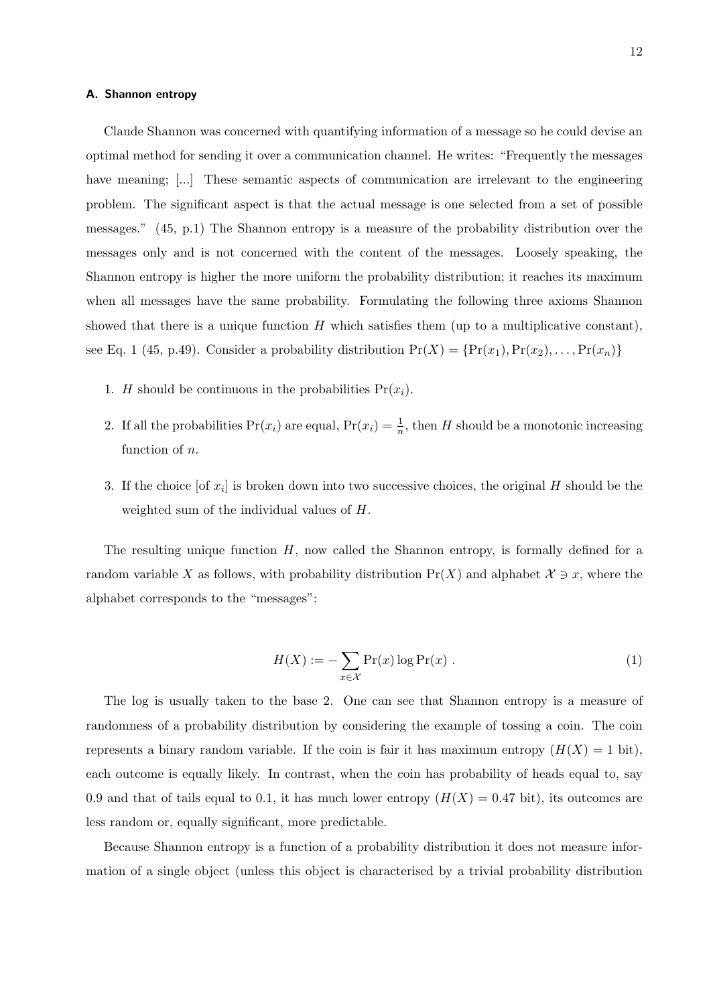#### A. Shannon entropy

Claude Shannon was concerned with quantifying information of a message so he could devise an optimal method for sending it over a communication channel. He writes: "Frequently the messages have meaning; [...] These semantic aspects of communication are irrelevant to the engineering problem. The significant aspect is that the actual message is one selected from a set of possible messages." (45, p.1) The Shannon entropy is a measure of the probability distribution over the messages only and is not concerned with the content of the messages. Loosely speaking, the Shannon entropy is higher the more uniform the probability distribution; it reaches its maximum when all messages have the same probability. Formulating the following three axioms Shannon showed that there is a unique function  $H$  which satisfies them (up to a multiplicative constant), see Eq. 1 (45, p.49). Consider a probability distribution  $Pr(X) = \{Pr(x_1), Pr(x_2), \ldots, Pr(x_n)\}$ 

- 1. H should be continuous in the probabilities  $Pr(x_i)$ .
- 2. If all the probabilities  $Pr(x_i)$  are equal,  $Pr(x_i) = \frac{1}{n}$ , then H should be a monotonic increasing function of  $n$ .
- 3. If the choice [of  $x_i$ ] is broken down into two successive choices, the original H should be the weighted sum of the individual values of H.

The resulting unique function  $H$ , now called the Shannon entropy, is formally defined for a random variable X as follows, with probability distribution  $Pr(X)$  and alphabet  $X \ni x$ , where the alphabet corresponds to the "messages":

$$
H(X) := -\sum_{x \in \mathcal{X}} \Pr(x) \log \Pr(x) .
$$
 (1)

The log is usually taken to the base 2. One can see that Shannon entropy is a measure of randomness of a probability distribution by considering the example of tossing a coin. The coin represents a binary random variable. If the coin is fair it has maximum entropy  $(H(X) = 1$  bit), each outcome is equally likely. In contrast, when the coin has probability of heads equal to, say 0.9 and that of tails equal to 0.1, it has much lower entropy  $(H(X) = 0.47 \text{ bit})$ , its outcomes are less random or, equally significant, more predictable.

Because Shannon entropy is a function of a probability distribution it does not measure information of a single object (unless this object is characterised by a trivial probability distribution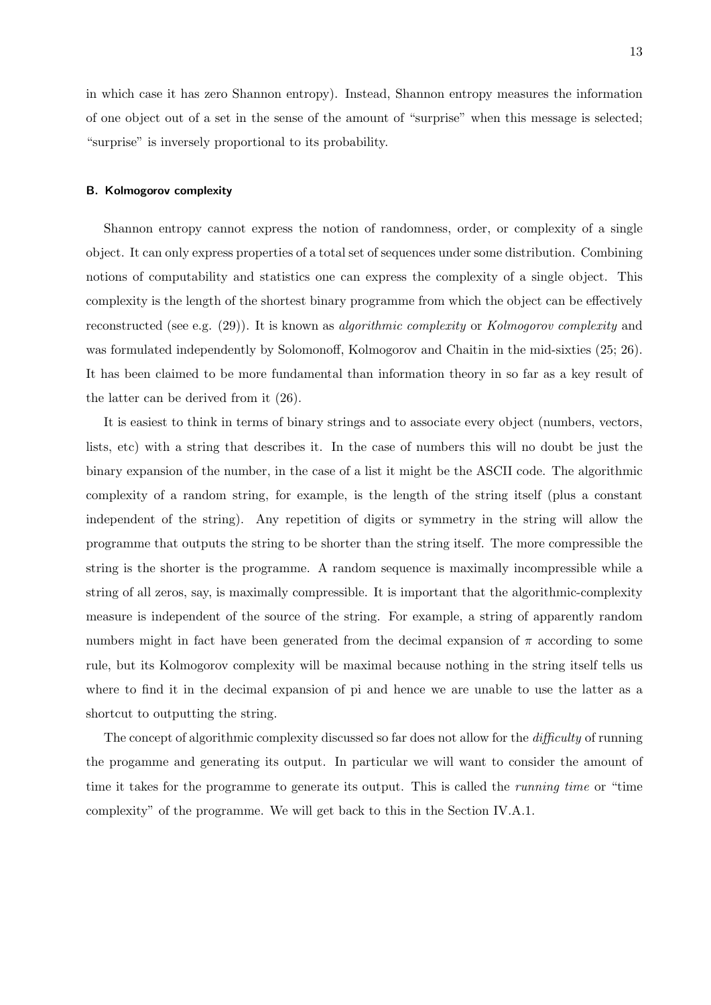in which case it has zero Shannon entropy). Instead, Shannon entropy measures the information of one object out of a set in the sense of the amount of "surprise" when this message is selected; "surprise" is inversely proportional to its probability.

#### B. Kolmogorov complexity

Shannon entropy cannot express the notion of randomness, order, or complexity of a single object. It can only express properties of a total set of sequences under some distribution. Combining notions of computability and statistics one can express the complexity of a single object. This complexity is the length of the shortest binary programme from which the object can be effectively reconstructed (see e.g. (29)). It is known as algorithmic complexity or Kolmogorov complexity and was formulated independently by Solomonoff, Kolmogorov and Chaitin in the mid-sixties (25; 26). It has been claimed to be more fundamental than information theory in so far as a key result of the latter can be derived from it (26).

It is easiest to think in terms of binary strings and to associate every object (numbers, vectors, lists, etc) with a string that describes it. In the case of numbers this will no doubt be just the binary expansion of the number, in the case of a list it might be the ASCII code. The algorithmic complexity of a random string, for example, is the length of the string itself (plus a constant independent of the string). Any repetition of digits or symmetry in the string will allow the programme that outputs the string to be shorter than the string itself. The more compressible the string is the shorter is the programme. A random sequence is maximally incompressible while a string of all zeros, say, is maximally compressible. It is important that the algorithmic-complexity measure is independent of the source of the string. For example, a string of apparently random numbers might in fact have been generated from the decimal expansion of  $\pi$  according to some rule, but its Kolmogorov complexity will be maximal because nothing in the string itself tells us where to find it in the decimal expansion of pi and hence we are unable to use the latter as a shortcut to outputting the string.

The concept of algorithmic complexity discussed so far does not allow for the *difficulty* of running the progamme and generating its output. In particular we will want to consider the amount of time it takes for the programme to generate its output. This is called the running time or "time complexity" of the programme. We will get back to this in the Section IV.A.1.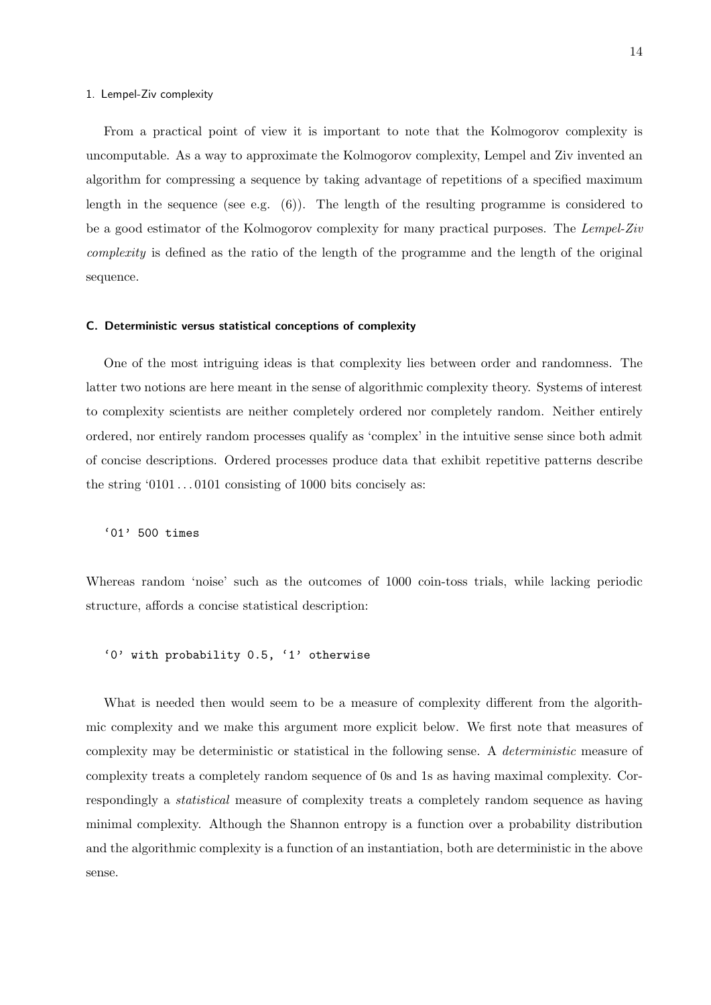#### 1. Lempel-Ziv complexity

From a practical point of view it is important to note that the Kolmogorov complexity is uncomputable. As a way to approximate the Kolmogorov complexity, Lempel and Ziv invented an algorithm for compressing a sequence by taking advantage of repetitions of a specified maximum length in the sequence (see e.g. (6)). The length of the resulting programme is considered to be a good estimator of the Kolmogorov complexity for many practical purposes. The Lempel-Ziv complexity is defined as the ratio of the length of the programme and the length of the original sequence.

#### C. Deterministic versus statistical conceptions of complexity

One of the most intriguing ideas is that complexity lies between order and randomness. The latter two notions are here meant in the sense of algorithmic complexity theory. Systems of interest to complexity scientists are neither completely ordered nor completely random. Neither entirely ordered, nor entirely random processes qualify as 'complex' in the intuitive sense since both admit of concise descriptions. Ordered processes produce data that exhibit repetitive patterns describe the string  $0101 \dots 0101$  consisting of 1000 bits concisely as:

'01' 500 times

Whereas random 'noise' such as the outcomes of 1000 coin-toss trials, while lacking periodic structure, affords a concise statistical description:

```
'0' with probability 0.5, '1' otherwise
```
What is needed then would seem to be a measure of complexity different from the algorithmic complexity and we make this argument more explicit below. We first note that measures of complexity may be deterministic or statistical in the following sense. A deterministic measure of complexity treats a completely random sequence of 0s and 1s as having maximal complexity. Correspondingly a statistical measure of complexity treats a completely random sequence as having minimal complexity. Although the Shannon entropy is a function over a probability distribution and the algorithmic complexity is a function of an instantiation, both are deterministic in the above sense.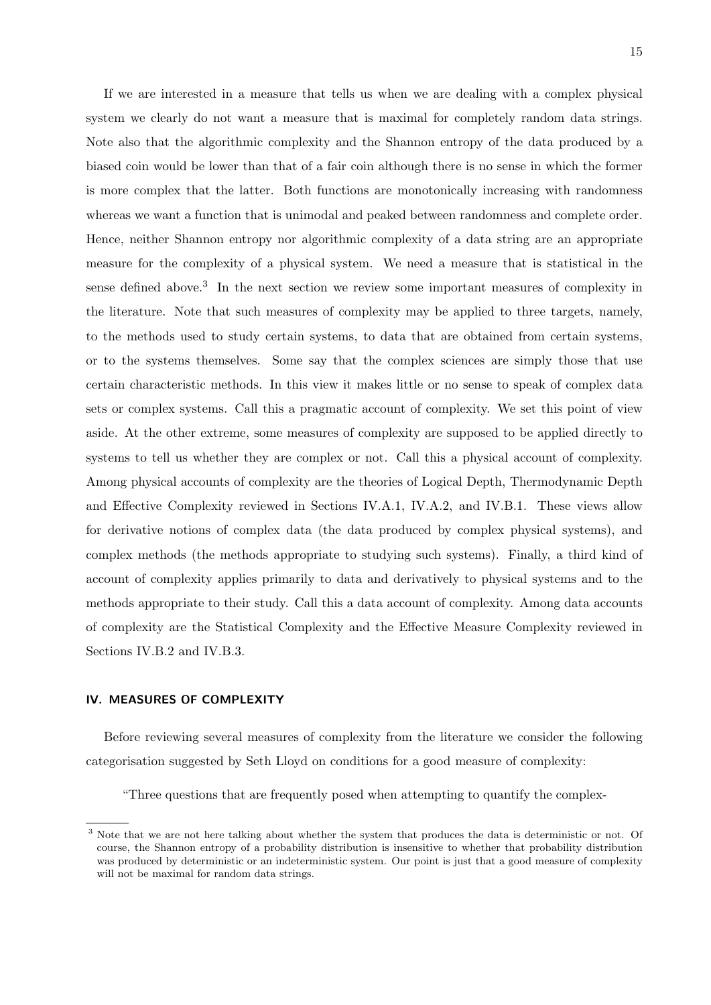If we are interested in a measure that tells us when we are dealing with a complex physical system we clearly do not want a measure that is maximal for completely random data strings. Note also that the algorithmic complexity and the Shannon entropy of the data produced by a biased coin would be lower than that of a fair coin although there is no sense in which the former is more complex that the latter. Both functions are monotonically increasing with randomness whereas we want a function that is unimodal and peaked between randomness and complete order. Hence, neither Shannon entropy nor algorithmic complexity of a data string are an appropriate measure for the complexity of a physical system. We need a measure that is statistical in the sense defined above.<sup>3</sup> In the next section we review some important measures of complexity in the literature. Note that such measures of complexity may be applied to three targets, namely, to the methods used to study certain systems, to data that are obtained from certain systems, or to the systems themselves. Some say that the complex sciences are simply those that use certain characteristic methods. In this view it makes little or no sense to speak of complex data sets or complex systems. Call this a pragmatic account of complexity. We set this point of view aside. At the other extreme, some measures of complexity are supposed to be applied directly to systems to tell us whether they are complex or not. Call this a physical account of complexity. Among physical accounts of complexity are the theories of Logical Depth, Thermodynamic Depth and Effective Complexity reviewed in Sections IV.A.1, IV.A.2, and IV.B.1. These views allow for derivative notions of complex data (the data produced by complex physical systems), and complex methods (the methods appropriate to studying such systems). Finally, a third kind of account of complexity applies primarily to data and derivatively to physical systems and to the methods appropriate to their study. Call this a data account of complexity. Among data accounts of complexity are the Statistical Complexity and the Effective Measure Complexity reviewed in Sections IV.B.2 and IV.B.3.

## IV. MEASURES OF COMPLEXITY

Before reviewing several measures of complexity from the literature we consider the following categorisation suggested by Seth Lloyd on conditions for a good measure of complexity:

"Three questions that are frequently posed when attempting to quantify the complex-

<sup>&</sup>lt;sup>3</sup> Note that we are not here talking about whether the system that produces the data is deterministic or not. Of course, the Shannon entropy of a probability distribution is insensitive to whether that probability distribution was produced by deterministic or an indeterministic system. Our point is just that a good measure of complexity will not be maximal for random data strings.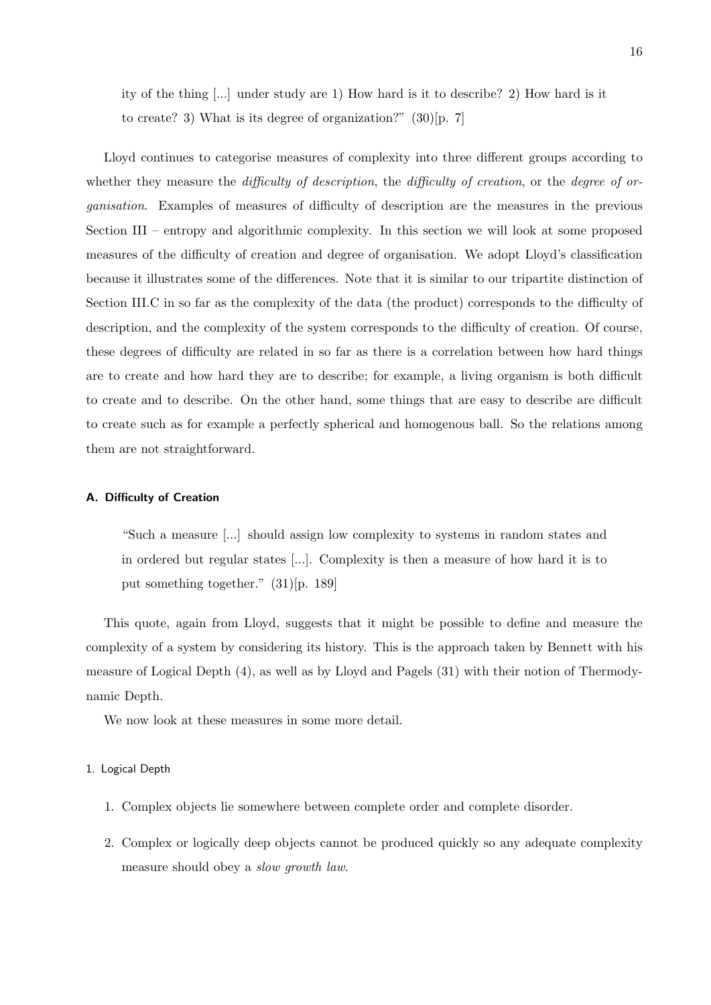ity of the thing [...] under study are 1) How hard is it to describe? 2) How hard is it to create? 3) What is its degree of organization?"  $(30)[p, 7]$ 

Lloyd continues to categorise measures of complexity into three different groups according to whether they measure the difficulty of description, the difficulty of creation, or the degree of organisation. Examples of measures of difficulty of description are the measures in the previous Section III – entropy and algorithmic complexity. In this section we will look at some proposed measures of the difficulty of creation and degree of organisation. We adopt Lloyd's classification because it illustrates some of the differences. Note that it is similar to our tripartite distinction of Section III.C in so far as the complexity of the data (the product) corresponds to the difficulty of description, and the complexity of the system corresponds to the difficulty of creation. Of course, these degrees of difficulty are related in so far as there is a correlation between how hard things are to create and how hard they are to describe; for example, a living organism is both difficult to create and to describe. On the other hand, some things that are easy to describe are difficult to create such as for example a perfectly spherical and homogenous ball. So the relations among them are not straightforward.

#### A. Difficulty of Creation

"Such a measure [...] should assign low complexity to systems in random states and in ordered but regular states [...]. Complexity is then a measure of how hard it is to put something together." (31)[p. 189]

This quote, again from Lloyd, suggests that it might be possible to define and measure the complexity of a system by considering its history. This is the approach taken by Bennett with his measure of Logical Depth (4), as well as by Lloyd and Pagels (31) with their notion of Thermodynamic Depth.

We now look at these measures in some more detail.

### 1. Logical Depth

- 1. Complex objects lie somewhere between complete order and complete disorder.
- 2. Complex or logically deep objects cannot be produced quickly so any adequate complexity measure should obey a slow growth law.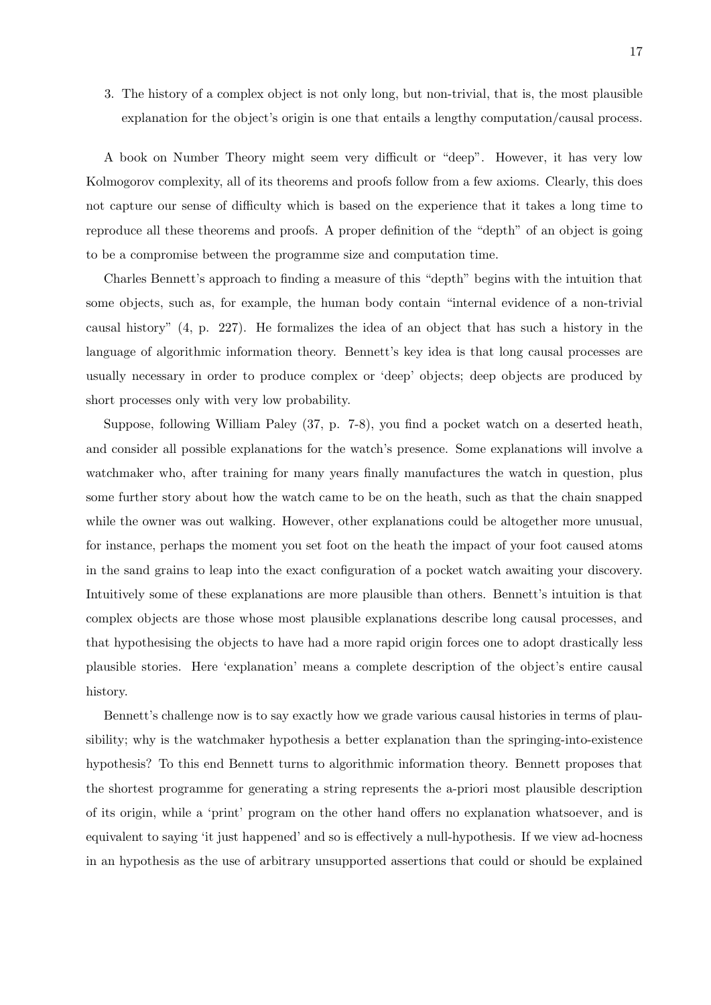3. The history of a complex object is not only long, but non-trivial, that is, the most plausible explanation for the object's origin is one that entails a lengthy computation/causal process.

A book on Number Theory might seem very difficult or "deep". However, it has very low Kolmogorov complexity, all of its theorems and proofs follow from a few axioms. Clearly, this does not capture our sense of difficulty which is based on the experience that it takes a long time to reproduce all these theorems and proofs. A proper definition of the "depth" of an object is going to be a compromise between the programme size and computation time.

Charles Bennett's approach to finding a measure of this "depth" begins with the intuition that some objects, such as, for example, the human body contain "internal evidence of a non-trivial causal history" (4, p. 227). He formalizes the idea of an object that has such a history in the language of algorithmic information theory. Bennett's key idea is that long causal processes are usually necessary in order to produce complex or 'deep' objects; deep objects are produced by short processes only with very low probability.

Suppose, following William Paley (37, p. 7-8), you find a pocket watch on a deserted heath, and consider all possible explanations for the watch's presence. Some explanations will involve a watchmaker who, after training for many years finally manufactures the watch in question, plus some further story about how the watch came to be on the heath, such as that the chain snapped while the owner was out walking. However, other explanations could be altogether more unusual, for instance, perhaps the moment you set foot on the heath the impact of your foot caused atoms in the sand grains to leap into the exact configuration of a pocket watch awaiting your discovery. Intuitively some of these explanations are more plausible than others. Bennett's intuition is that complex objects are those whose most plausible explanations describe long causal processes, and that hypothesising the objects to have had a more rapid origin forces one to adopt drastically less plausible stories. Here 'explanation' means a complete description of the object's entire causal history.

Bennett's challenge now is to say exactly how we grade various causal histories in terms of plausibility; why is the watchmaker hypothesis a better explanation than the springing-into-existence hypothesis? To this end Bennett turns to algorithmic information theory. Bennett proposes that the shortest programme for generating a string represents the a-priori most plausible description of its origin, while a 'print' program on the other hand offers no explanation whatsoever, and is equivalent to saying 'it just happened' and so is effectively a null-hypothesis. If we view ad-hocness in an hypothesis as the use of arbitrary unsupported assertions that could or should be explained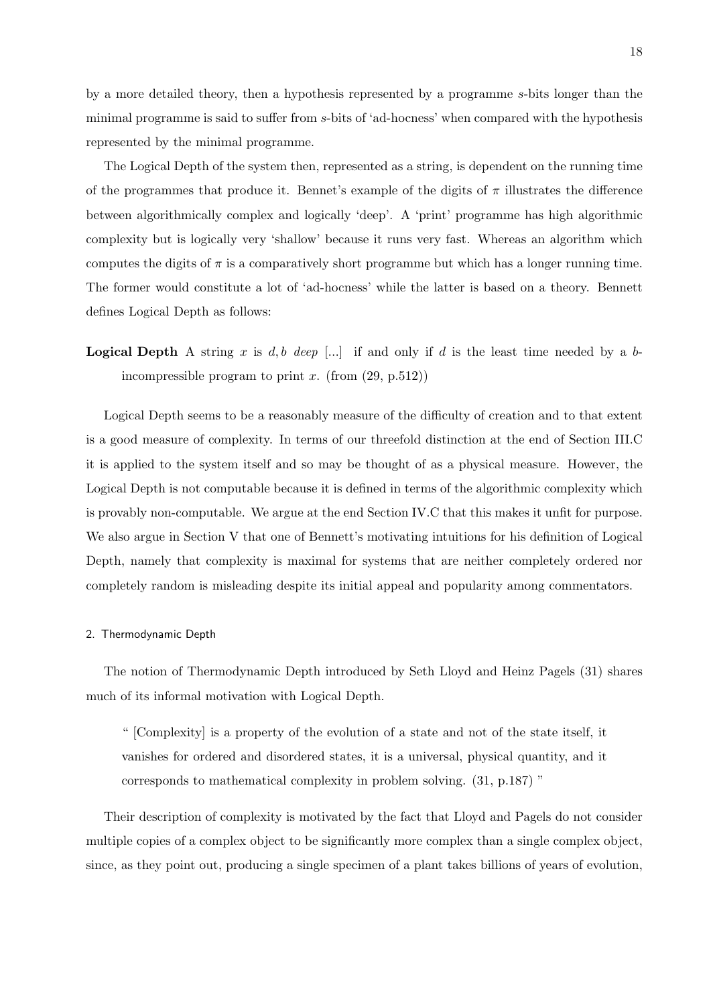by a more detailed theory, then a hypothesis represented by a programme s-bits longer than the minimal programme is said to suffer from s-bits of 'ad-hocness' when compared with the hypothesis represented by the minimal programme.

The Logical Depth of the system then, represented as a string, is dependent on the running time of the programmes that produce it. Bennet's example of the digits of  $\pi$  illustrates the difference between algorithmically complex and logically 'deep'. A 'print' programme has high algorithmic complexity but is logically very 'shallow' because it runs very fast. Whereas an algorithm which computes the digits of  $\pi$  is a comparatively short programme but which has a longer running time. The former would constitute a lot of 'ad-hocness' while the latter is based on a theory. Bennett defines Logical Depth as follows:

**Logical Depth** A string x is d, b deep [...] if and only if d is the least time needed by a bincompressible program to print x. (from  $(29, p.512)$ )

Logical Depth seems to be a reasonably measure of the difficulty of creation and to that extent is a good measure of complexity. In terms of our threefold distinction at the end of Section III.C it is applied to the system itself and so may be thought of as a physical measure. However, the Logical Depth is not computable because it is defined in terms of the algorithmic complexity which is provably non-computable. We argue at the end Section IV.C that this makes it unfit for purpose. We also argue in Section V that one of Bennett's motivating intuitions for his definition of Logical Depth, namely that complexity is maximal for systems that are neither completely ordered nor completely random is misleading despite its initial appeal and popularity among commentators.

#### 2. Thermodynamic Depth

The notion of Thermodynamic Depth introduced by Seth Lloyd and Heinz Pagels (31) shares much of its informal motivation with Logical Depth.

" [Complexity] is a property of the evolution of a state and not of the state itself, it vanishes for ordered and disordered states, it is a universal, physical quantity, and it corresponds to mathematical complexity in problem solving. (31, p.187) "

Their description of complexity is motivated by the fact that Lloyd and Pagels do not consider multiple copies of a complex object to be significantly more complex than a single complex object, since, as they point out, producing a single specimen of a plant takes billions of years of evolution,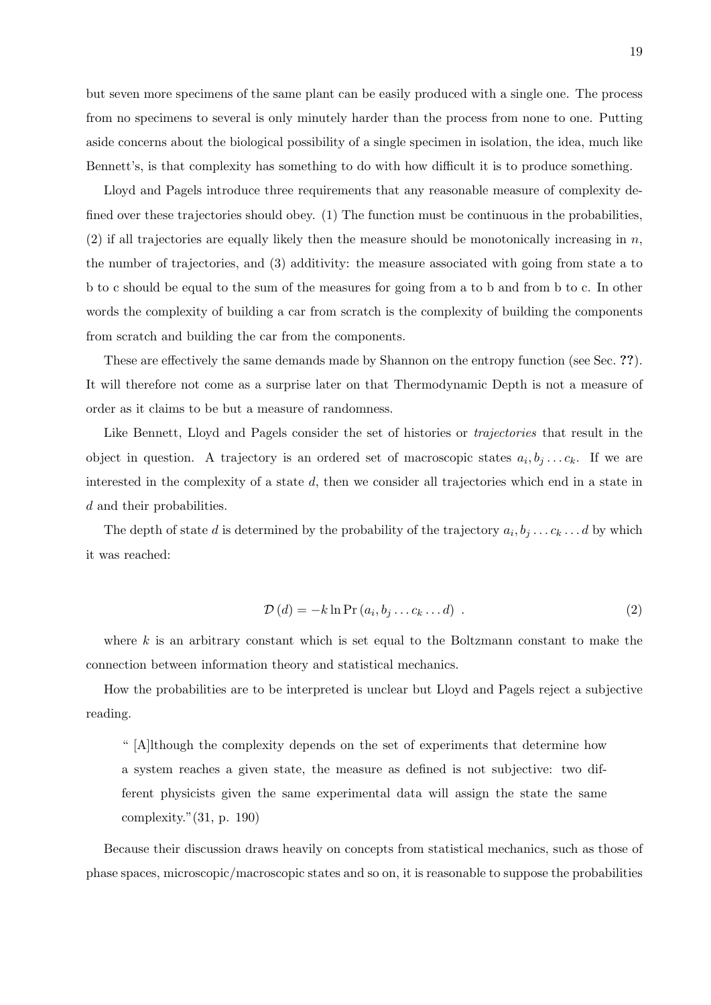but seven more specimens of the same plant can be easily produced with a single one. The process from no specimens to several is only minutely harder than the process from none to one. Putting aside concerns about the biological possibility of a single specimen in isolation, the idea, much like Bennett's, is that complexity has something to do with how difficult it is to produce something.

Lloyd and Pagels introduce three requirements that any reasonable measure of complexity defined over these trajectories should obey. (1) The function must be continuous in the probabilities, (2) if all trajectories are equally likely then the measure should be monotonically increasing in n, the number of trajectories, and (3) additivity: the measure associated with going from state a to b to c should be equal to the sum of the measures for going from a to b and from b to c. In other words the complexity of building a car from scratch is the complexity of building the components from scratch and building the car from the components.

These are effectively the same demands made by Shannon on the entropy function (see Sec. ??). It will therefore not come as a surprise later on that Thermodynamic Depth is not a measure of order as it claims to be but a measure of randomness.

Like Bennett, Lloyd and Pagels consider the set of histories or *trajectories* that result in the object in question. A trajectory is an ordered set of macroscopic states  $a_i, b_j \ldots c_k$ . If we are interested in the complexity of a state  $d$ , then we consider all trajectories which end in a state in d and their probabilities.

The depth of state d is determined by the probability of the trajectory  $a_i, b_j \ldots c_k \ldots d$  by which it was reached:

$$
\mathcal{D}\left(d\right) = -k \ln \Pr\left(a_i, b_j \dots c_k \dots d\right) \tag{2}
$$

where  $k$  is an arbitrary constant which is set equal to the Boltzmann constant to make the connection between information theory and statistical mechanics.

How the probabilities are to be interpreted is unclear but Lloyd and Pagels reject a subjective reading.

" [A]lthough the complexity depends on the set of experiments that determine how a system reaches a given state, the measure as defined is not subjective: two different physicists given the same experimental data will assign the state the same complexity."(31, p. 190)

Because their discussion draws heavily on concepts from statistical mechanics, such as those of phase spaces, microscopic/macroscopic states and so on, it is reasonable to suppose the probabilities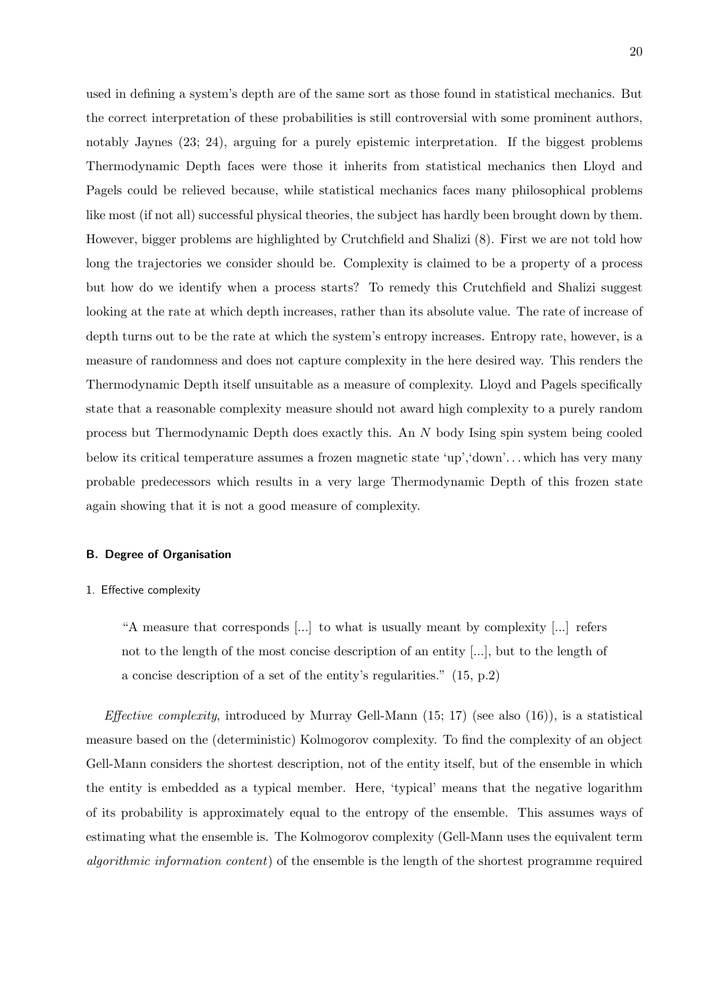used in defining a system's depth are of the same sort as those found in statistical mechanics. But the correct interpretation of these probabilities is still controversial with some prominent authors, notably Jaynes (23; 24), arguing for a purely epistemic interpretation. If the biggest problems Thermodynamic Depth faces were those it inherits from statistical mechanics then Lloyd and Pagels could be relieved because, while statistical mechanics faces many philosophical problems like most (if not all) successful physical theories, the subject has hardly been brought down by them. However, bigger problems are highlighted by Crutchfield and Shalizi (8). First we are not told how long the trajectories we consider should be. Complexity is claimed to be a property of a process but how do we identify when a process starts? To remedy this Crutchfield and Shalizi suggest looking at the rate at which depth increases, rather than its absolute value. The rate of increase of depth turns out to be the rate at which the system's entropy increases. Entropy rate, however, is a measure of randomness and does not capture complexity in the here desired way. This renders the Thermodynamic Depth itself unsuitable as a measure of complexity. Lloyd and Pagels specifically state that a reasonable complexity measure should not award high complexity to a purely random process but Thermodynamic Depth does exactly this. An N body Ising spin system being cooled below its critical temperature assumes a frozen magnetic state 'up','down'. . . which has very many probable predecessors which results in a very large Thermodynamic Depth of this frozen state again showing that it is not a good measure of complexity.

## B. Degree of Organisation

#### 1. Effective complexity

"A measure that corresponds [...] to what is usually meant by complexity [...] refers not to the length of the most concise description of an entity [...], but to the length of a concise description of a set of the entity's regularities." (15, p.2)

*Effective complexity*, introduced by Murray Gell-Mann  $(15; 17)$  (see also  $(16)$ ), is a statistical measure based on the (deterministic) Kolmogorov complexity. To find the complexity of an object Gell-Mann considers the shortest description, not of the entity itself, but of the ensemble in which the entity is embedded as a typical member. Here, 'typical' means that the negative logarithm of its probability is approximately equal to the entropy of the ensemble. This assumes ways of estimating what the ensemble is. The Kolmogorov complexity (Gell-Mann uses the equivalent term algorithmic information content) of the ensemble is the length of the shortest programme required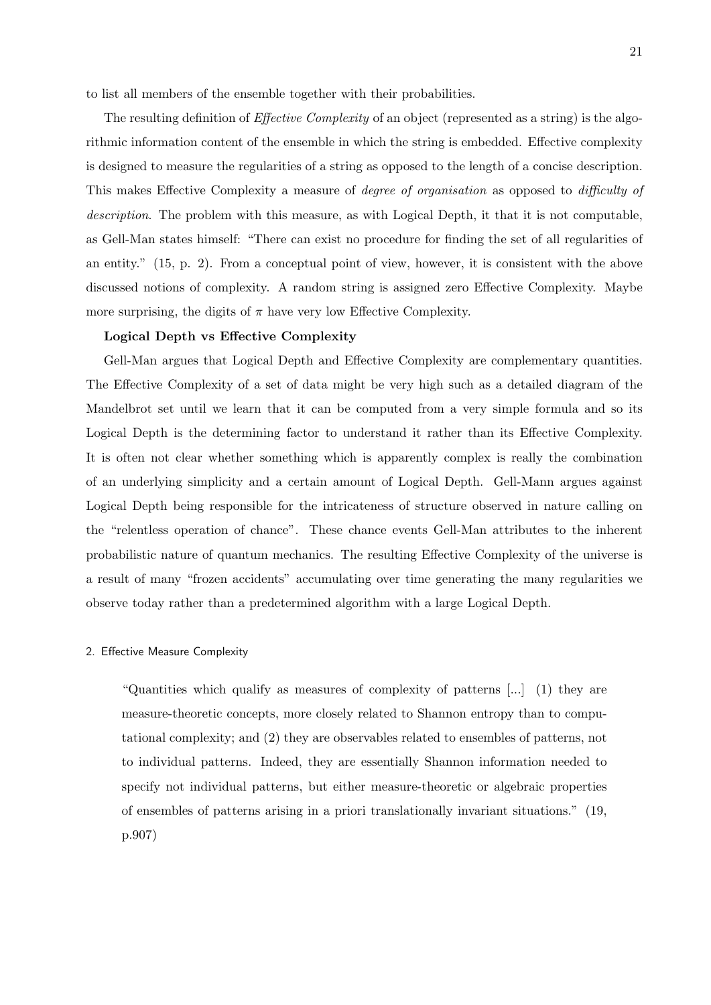to list all members of the ensemble together with their probabilities.

The resulting definition of *Effective Complexity* of an object (represented as a string) is the algorithmic information content of the ensemble in which the string is embedded. Effective complexity is designed to measure the regularities of a string as opposed to the length of a concise description. This makes Effective Complexity a measure of degree of organisation as opposed to difficulty of description. The problem with this measure, as with Logical Depth, it that it is not computable, as Gell-Man states himself: "There can exist no procedure for finding the set of all regularities of an entity." (15, p. 2). From a conceptual point of view, however, it is consistent with the above discussed notions of complexity. A random string is assigned zero Effective Complexity. Maybe more surprising, the digits of  $\pi$  have very low Effective Complexity.

## Logical Depth vs Effective Complexity

Gell-Man argues that Logical Depth and Effective Complexity are complementary quantities. The Effective Complexity of a set of data might be very high such as a detailed diagram of the Mandelbrot set until we learn that it can be computed from a very simple formula and so its Logical Depth is the determining factor to understand it rather than its Effective Complexity. It is often not clear whether something which is apparently complex is really the combination of an underlying simplicity and a certain amount of Logical Depth. Gell-Mann argues against Logical Depth being responsible for the intricateness of structure observed in nature calling on the "relentless operation of chance". These chance events Gell-Man attributes to the inherent probabilistic nature of quantum mechanics. The resulting Effective Complexity of the universe is a result of many "frozen accidents" accumulating over time generating the many regularities we observe today rather than a predetermined algorithm with a large Logical Depth.

#### 2. Effective Measure Complexity

"Quantities which qualify as measures of complexity of patterns [...] (1) they are measure-theoretic concepts, more closely related to Shannon entropy than to computational complexity; and (2) they are observables related to ensembles of patterns, not to individual patterns. Indeed, they are essentially Shannon information needed to specify not individual patterns, but either measure-theoretic or algebraic properties of ensembles of patterns arising in a priori translationally invariant situations." (19, p.907)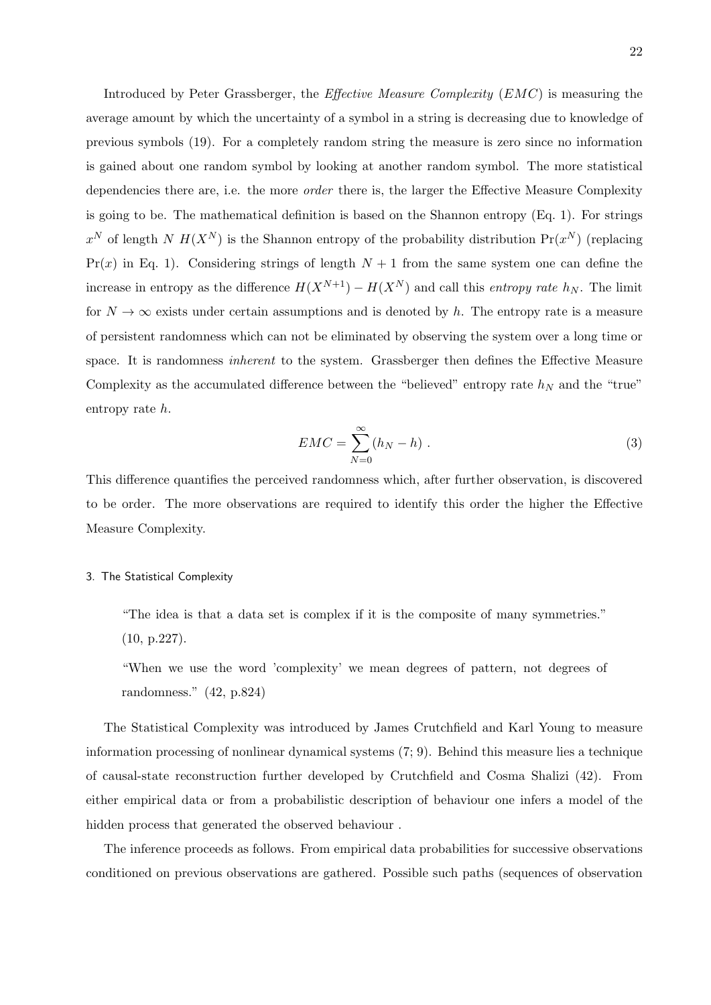Introduced by Peter Grassberger, the Effective Measure Complexity (EMC) is measuring the average amount by which the uncertainty of a symbol in a string is decreasing due to knowledge of previous symbols (19). For a completely random string the measure is zero since no information is gained about one random symbol by looking at another random symbol. The more statistical dependencies there are, i.e. the more order there is, the larger the Effective Measure Complexity is going to be. The mathematical definition is based on the Shannon entropy (Eq. 1). For strings  $x^N$  of length N  $H(X^N)$  is the Shannon entropy of the probability distribution  $Pr(x^N)$  (replacing  $Pr(x)$  in Eq. 1). Considering strings of length  $N + 1$  from the same system one can define the increase in entropy as the difference  $H(X^{N+1}) - H(X^N)$  and call this entropy rate  $h_N$ . The limit for  $N \to \infty$  exists under certain assumptions and is denoted by h. The entropy rate is a measure of persistent randomness which can not be eliminated by observing the system over a long time or space. It is randomness *inherent* to the system. Grassberger then defines the Effective Measure Complexity as the accumulated difference between the "believed" entropy rate  $h_N$  and the "true" entropy rate h.

$$
EMC = \sum_{N=0}^{\infty} (h_N - h) . \tag{3}
$$

This difference quantifies the perceived randomness which, after further observation, is discovered to be order. The more observations are required to identify this order the higher the Effective Measure Complexity.

#### 3. The Statistical Complexity

"The idea is that a data set is complex if it is the composite of many symmetries."

"When we use the word 'complexity' we mean degrees of pattern, not degrees of randomness." (42, p.824)

The Statistical Complexity was introduced by James Crutchfield and Karl Young to measure information processing of nonlinear dynamical systems (7; 9). Behind this measure lies a technique of causal-state reconstruction further developed by Crutchfield and Cosma Shalizi (42). From either empirical data or from a probabilistic description of behaviour one infers a model of the hidden process that generated the observed behaviour .

The inference proceeds as follows. From empirical data probabilities for successive observations conditioned on previous observations are gathered. Possible such paths (sequences of observation

<sup>(10,</sup> p.227).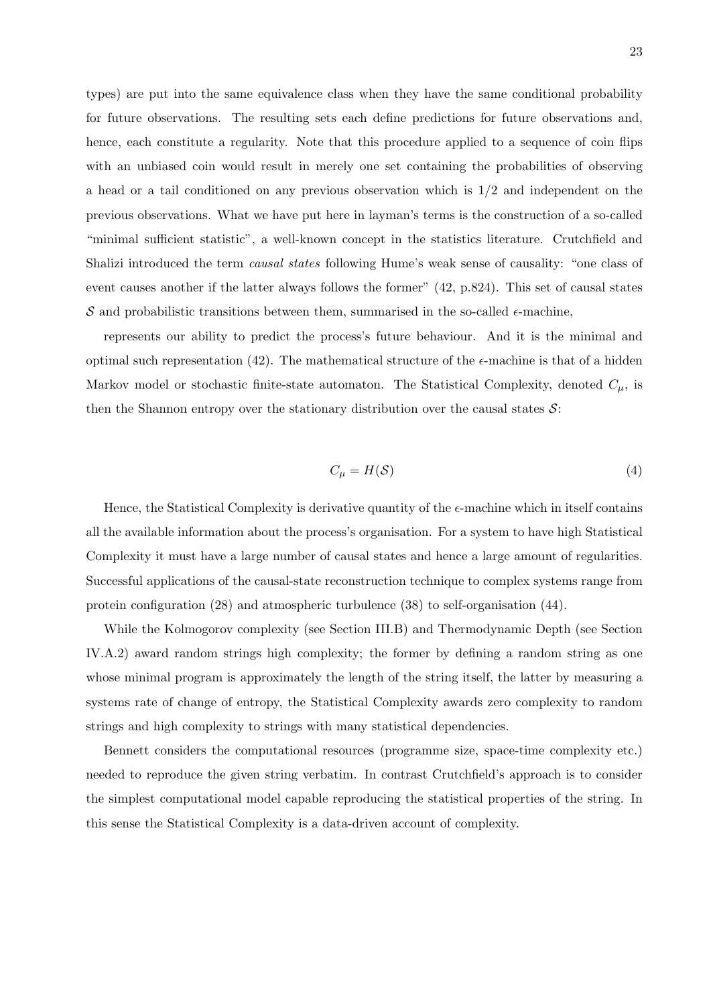types) are put into the same equivalence class when they have the same conditional probability for future observations. The resulting sets each define predictions for future observations and, hence, each constitute a regularity. Note that this procedure applied to a sequence of coin flips with an unbiased coin would result in merely one set containing the probabilities of observing a head or a tail conditioned on any previous observation which is  $1/2$  and independent on the previous observations. What we have put here in layman's terms is the construction of a so-called "minimal sufficient statistic", a well-known concept in the statistics literature. Crutchfield and Shalizi introduced the term causal states following Hume's weak sense of causality: "one class of event causes another if the latter always follows the former" (42, p.824). This set of causal states S and probabilistic transitions between them, summarised in the so-called  $\epsilon$ -machine,

represents our ability to predict the process's future behaviour. And it is the minimal and optimal such representation  $(42)$ . The mathematical structure of the  $\epsilon$ -machine is that of a hidden Markov model or stochastic finite-state automaton. The Statistical Complexity, denoted  $C_{\mu}$ , is then the Shannon entropy over the stationary distribution over the causal states  $S$ :

$$
C_{\mu} = H(\mathcal{S}) \tag{4}
$$

Hence, the Statistical Complexity is derivative quantity of the  $\epsilon$ -machine which in itself contains all the available information about the process's organisation. For a system to have high Statistical Complexity it must have a large number of causal states and hence a large amount of regularities. Successful applications of the causal-state reconstruction technique to complex systems range from protein configuration (28) and atmospheric turbulence (38) to self-organisation (44).

While the Kolmogorov complexity (see Section III.B) and Thermodynamic Depth (see Section IV.A.2) award random strings high complexity; the former by defining a random string as one whose minimal program is approximately the length of the string itself, the latter by measuring a systems rate of change of entropy, the Statistical Complexity awards zero complexity to random strings and high complexity to strings with many statistical dependencies.

Bennett considers the computational resources (programme size, space-time complexity etc.) needed to reproduce the given string verbatim. In contrast Crutchfield's approach is to consider the simplest computational model capable reproducing the statistical properties of the string. In this sense the Statistical Complexity is a data-driven account of complexity.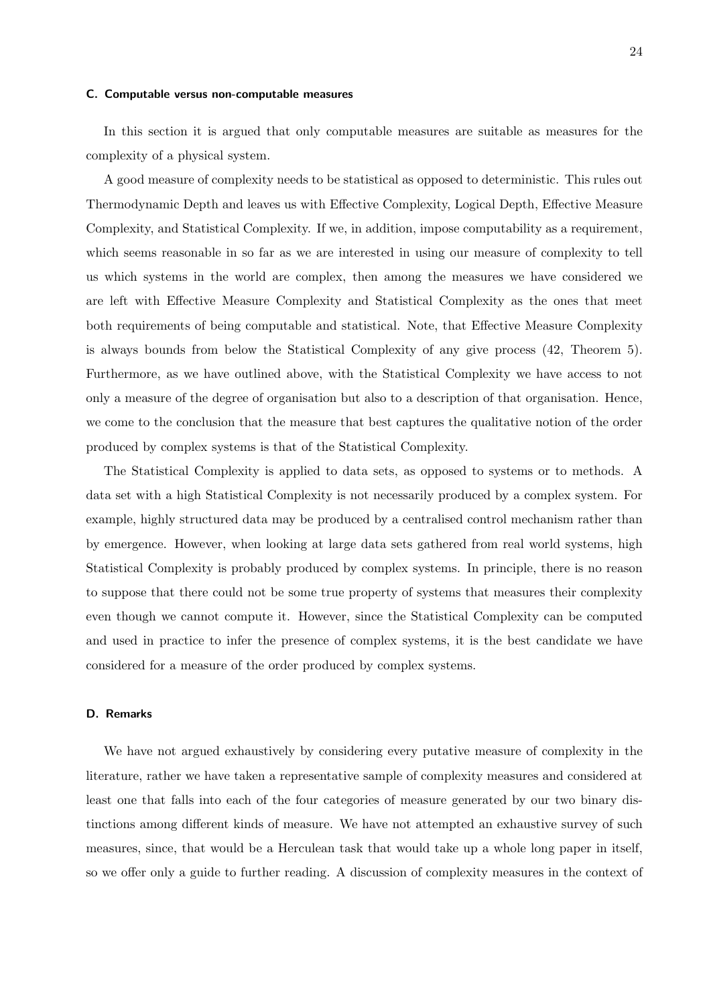#### C. Computable versus non-computable measures

In this section it is argued that only computable measures are suitable as measures for the complexity of a physical system.

A good measure of complexity needs to be statistical as opposed to deterministic. This rules out Thermodynamic Depth and leaves us with Effective Complexity, Logical Depth, Effective Measure Complexity, and Statistical Complexity. If we, in addition, impose computability as a requirement, which seems reasonable in so far as we are interested in using our measure of complexity to tell us which systems in the world are complex, then among the measures we have considered we are left with Effective Measure Complexity and Statistical Complexity as the ones that meet both requirements of being computable and statistical. Note, that Effective Measure Complexity is always bounds from below the Statistical Complexity of any give process (42, Theorem 5). Furthermore, as we have outlined above, with the Statistical Complexity we have access to not only a measure of the degree of organisation but also to a description of that organisation. Hence, we come to the conclusion that the measure that best captures the qualitative notion of the order produced by complex systems is that of the Statistical Complexity.

The Statistical Complexity is applied to data sets, as opposed to systems or to methods. A data set with a high Statistical Complexity is not necessarily produced by a complex system. For example, highly structured data may be produced by a centralised control mechanism rather than by emergence. However, when looking at large data sets gathered from real world systems, high Statistical Complexity is probably produced by complex systems. In principle, there is no reason to suppose that there could not be some true property of systems that measures their complexity even though we cannot compute it. However, since the Statistical Complexity can be computed and used in practice to infer the presence of complex systems, it is the best candidate we have considered for a measure of the order produced by complex systems.

## D. Remarks

We have not argued exhaustively by considering every putative measure of complexity in the literature, rather we have taken a representative sample of complexity measures and considered at least one that falls into each of the four categories of measure generated by our two binary distinctions among different kinds of measure. We have not attempted an exhaustive survey of such measures, since, that would be a Herculean task that would take up a whole long paper in itself, so we offer only a guide to further reading. A discussion of complexity measures in the context of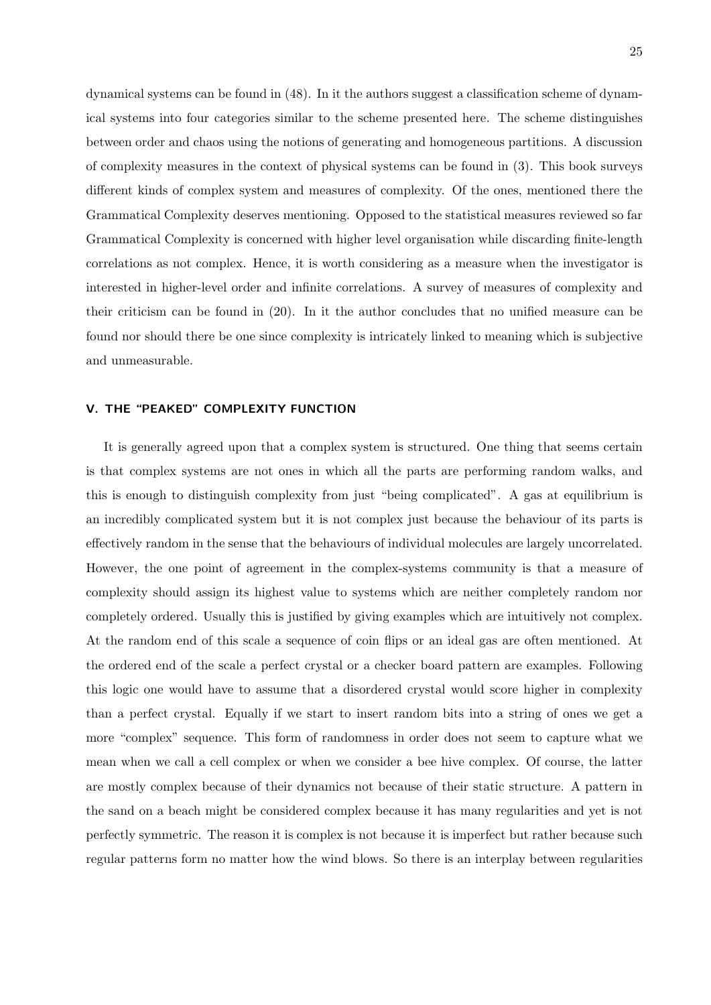dynamical systems can be found in (48). In it the authors suggest a classification scheme of dynamical systems into four categories similar to the scheme presented here. The scheme distinguishes between order and chaos using the notions of generating and homogeneous partitions. A discussion of complexity measures in the context of physical systems can be found in (3). This book surveys different kinds of complex system and measures of complexity. Of the ones, mentioned there the Grammatical Complexity deserves mentioning. Opposed to the statistical measures reviewed so far Grammatical Complexity is concerned with higher level organisation while discarding finite-length correlations as not complex. Hence, it is worth considering as a measure when the investigator is interested in higher-level order and infinite correlations. A survey of measures of complexity and their criticism can be found in (20). In it the author concludes that no unified measure can be found nor should there be one since complexity is intricately linked to meaning which is subjective and unmeasurable.

## V. THE "PEAKED" COMPLEXITY FUNCTION

It is generally agreed upon that a complex system is structured. One thing that seems certain is that complex systems are not ones in which all the parts are performing random walks, and this is enough to distinguish complexity from just "being complicated". A gas at equilibrium is an incredibly complicated system but it is not complex just because the behaviour of its parts is effectively random in the sense that the behaviours of individual molecules are largely uncorrelated. However, the one point of agreement in the complex-systems community is that a measure of complexity should assign its highest value to systems which are neither completely random nor completely ordered. Usually this is justified by giving examples which are intuitively not complex. At the random end of this scale a sequence of coin flips or an ideal gas are often mentioned. At the ordered end of the scale a perfect crystal or a checker board pattern are examples. Following this logic one would have to assume that a disordered crystal would score higher in complexity than a perfect crystal. Equally if we start to insert random bits into a string of ones we get a more "complex" sequence. This form of randomness in order does not seem to capture what we mean when we call a cell complex or when we consider a bee hive complex. Of course, the latter are mostly complex because of their dynamics not because of their static structure. A pattern in the sand on a beach might be considered complex because it has many regularities and yet is not perfectly symmetric. The reason it is complex is not because it is imperfect but rather because such regular patterns form no matter how the wind blows. So there is an interplay between regularities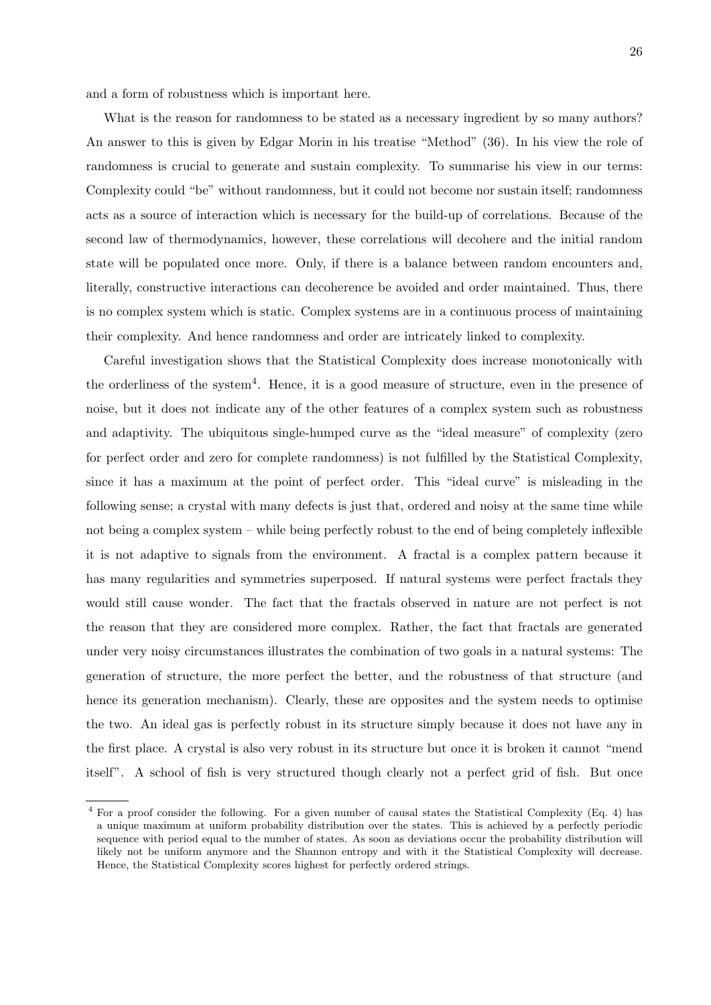and a form of robustness which is important here.

What is the reason for randomness to be stated as a necessary ingredient by so many authors? An answer to this is given by Edgar Morin in his treatise "Method" (36). In his view the role of randomness is crucial to generate and sustain complexity. To summarise his view in our terms: Complexity could "be" without randomness, but it could not become nor sustain itself; randomness acts as a source of interaction which is necessary for the build-up of correlations. Because of the second law of thermodynamics, however, these correlations will decohere and the initial random state will be populated once more. Only, if there is a balance between random encounters and, literally, constructive interactions can decoherence be avoided and order maintained. Thus, there is no complex system which is static. Complex systems are in a continuous process of maintaining their complexity. And hence randomness and order are intricately linked to complexity.

Careful investigation shows that the Statistical Complexity does increase monotonically with the orderliness of the system<sup>4</sup>. Hence, it is a good measure of structure, even in the presence of noise, but it does not indicate any of the other features of a complex system such as robustness and adaptivity. The ubiquitous single-humped curve as the "ideal measure" of complexity (zero for perfect order and zero for complete randomness) is not fulfilled by the Statistical Complexity, since it has a maximum at the point of perfect order. This "ideal curve" is misleading in the following sense; a crystal with many defects is just that, ordered and noisy at the same time while not being a complex system – while being perfectly robust to the end of being completely inflexible it is not adaptive to signals from the environment. A fractal is a complex pattern because it has many regularities and symmetries superposed. If natural systems were perfect fractals they would still cause wonder. The fact that the fractals observed in nature are not perfect is not the reason that they are considered more complex. Rather, the fact that fractals are generated under very noisy circumstances illustrates the combination of two goals in a natural systems: The generation of structure, the more perfect the better, and the robustness of that structure (and hence its generation mechanism). Clearly, these are opposites and the system needs to optimise the two. An ideal gas is perfectly robust in its structure simply because it does not have any in the first place. A crystal is also very robust in its structure but once it is broken it cannot "mend itself". A school of fish is very structured though clearly not a perfect grid of fish. But once

<sup>4</sup> For a proof consider the following. For a given number of causal states the Statistical Complexity (Eq. 4) has a unique maximum at uniform probability distribution over the states. This is achieved by a perfectly periodic sequence with period equal to the number of states. As soon as deviations occur the probability distribution will likely not be uniform anymore and the Shannon entropy and with it the Statistical Complexity will decrease. Hence, the Statistical Complexity scores highest for perfectly ordered strings.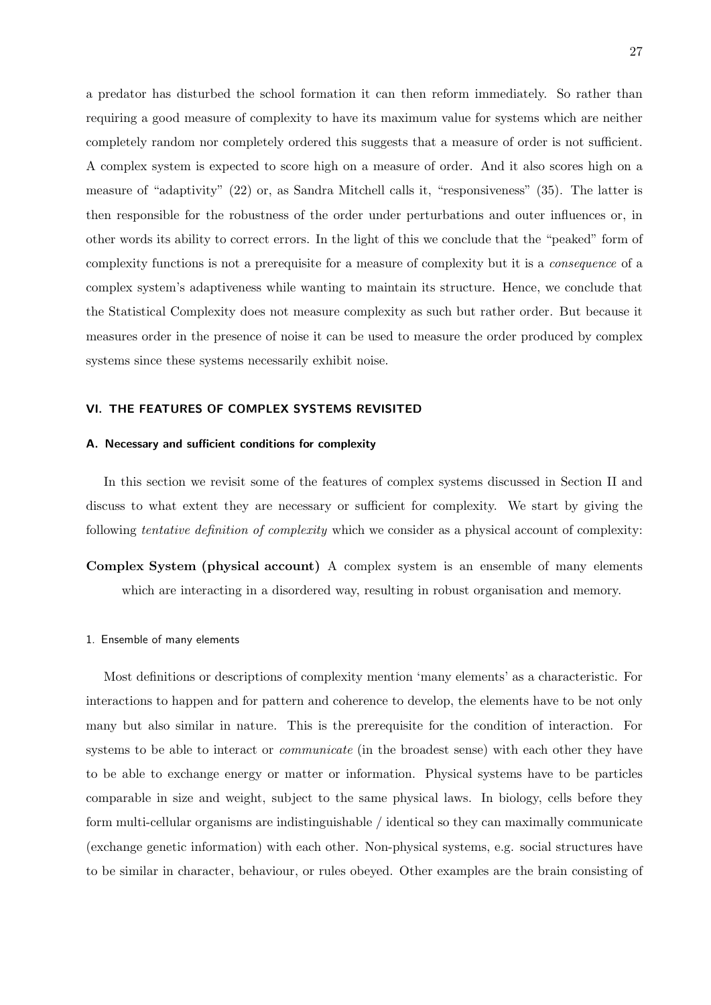a predator has disturbed the school formation it can then reform immediately. So rather than requiring a good measure of complexity to have its maximum value for systems which are neither completely random nor completely ordered this suggests that a measure of order is not sufficient. A complex system is expected to score high on a measure of order. And it also scores high on a measure of "adaptivity" (22) or, as Sandra Mitchell calls it, "responsiveness" (35). The latter is then responsible for the robustness of the order under perturbations and outer influences or, in other words its ability to correct errors. In the light of this we conclude that the "peaked" form of complexity functions is not a prerequisite for a measure of complexity but it is a consequence of a complex system's adaptiveness while wanting to maintain its structure. Hence, we conclude that the Statistical Complexity does not measure complexity as such but rather order. But because it measures order in the presence of noise it can be used to measure the order produced by complex systems since these systems necessarily exhibit noise.

## VI. THE FEATURES OF COMPLEX SYSTEMS REVISITED

#### A. Necessary and sufficient conditions for complexity

In this section we revisit some of the features of complex systems discussed in Section II and discuss to what extent they are necessary or sufficient for complexity. We start by giving the following tentative definition of complexity which we consider as a physical account of complexity:

Complex System (physical account) A complex system is an ensemble of many elements which are interacting in a disordered way, resulting in robust organisation and memory.

#### 1. Ensemble of many elements

Most definitions or descriptions of complexity mention 'many elements' as a characteristic. For interactions to happen and for pattern and coherence to develop, the elements have to be not only many but also similar in nature. This is the prerequisite for the condition of interaction. For systems to be able to interact or *communicate* (in the broadest sense) with each other they have to be able to exchange energy or matter or information. Physical systems have to be particles comparable in size and weight, subject to the same physical laws. In biology, cells before they form multi-cellular organisms are indistinguishable / identical so they can maximally communicate (exchange genetic information) with each other. Non-physical systems, e.g. social structures have to be similar in character, behaviour, or rules obeyed. Other examples are the brain consisting of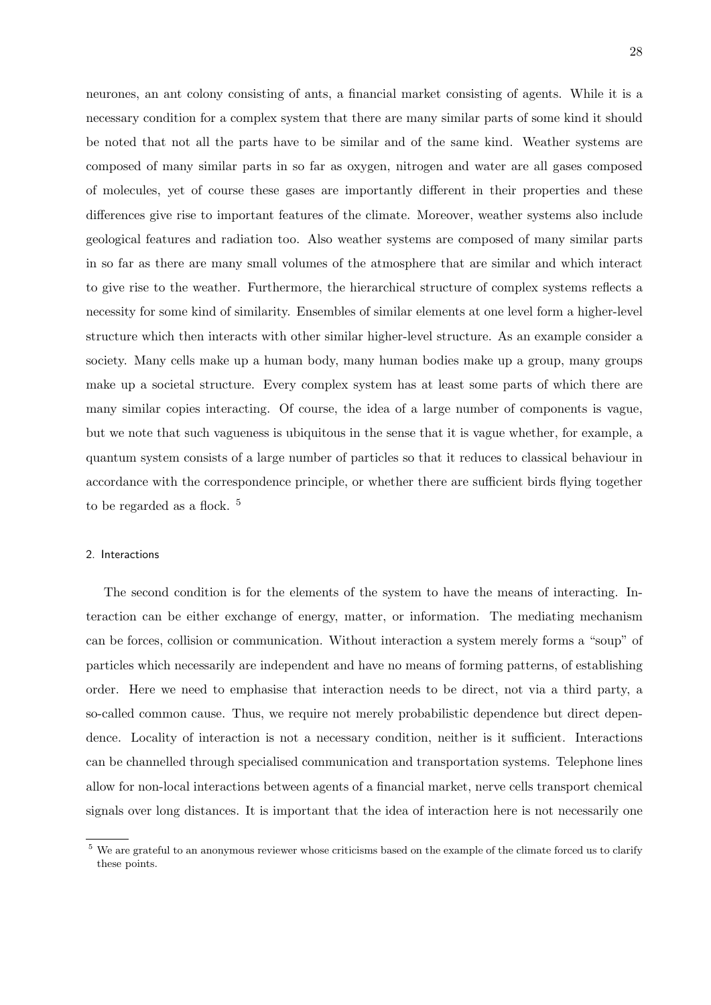neurones, an ant colony consisting of ants, a financial market consisting of agents. While it is a necessary condition for a complex system that there are many similar parts of some kind it should be noted that not all the parts have to be similar and of the same kind. Weather systems are composed of many similar parts in so far as oxygen, nitrogen and water are all gases composed of molecules, yet of course these gases are importantly different in their properties and these differences give rise to important features of the climate. Moreover, weather systems also include geological features and radiation too. Also weather systems are composed of many similar parts in so far as there are many small volumes of the atmosphere that are similar and which interact to give rise to the weather. Furthermore, the hierarchical structure of complex systems reflects a necessity for some kind of similarity. Ensembles of similar elements at one level form a higher-level structure which then interacts with other similar higher-level structure. As an example consider a society. Many cells make up a human body, many human bodies make up a group, many groups make up a societal structure. Every complex system has at least some parts of which there are many similar copies interacting. Of course, the idea of a large number of components is vague, but we note that such vagueness is ubiquitous in the sense that it is vague whether, for example, a quantum system consists of a large number of particles so that it reduces to classical behaviour in accordance with the correspondence principle, or whether there are sufficient birds flying together to be regarded as a flock. <sup>5</sup>

#### 2. Interactions

The second condition is for the elements of the system to have the means of interacting. Interaction can be either exchange of energy, matter, or information. The mediating mechanism can be forces, collision or communication. Without interaction a system merely forms a "soup" of particles which necessarily are independent and have no means of forming patterns, of establishing order. Here we need to emphasise that interaction needs to be direct, not via a third party, a so-called common cause. Thus, we require not merely probabilistic dependence but direct dependence. Locality of interaction is not a necessary condition, neither is it sufficient. Interactions can be channelled through specialised communication and transportation systems. Telephone lines allow for non-local interactions between agents of a financial market, nerve cells transport chemical signals over long distances. It is important that the idea of interaction here is not necessarily one

<sup>&</sup>lt;sup>5</sup> We are grateful to an anonymous reviewer whose criticisms based on the example of the climate forced us to clarify these points.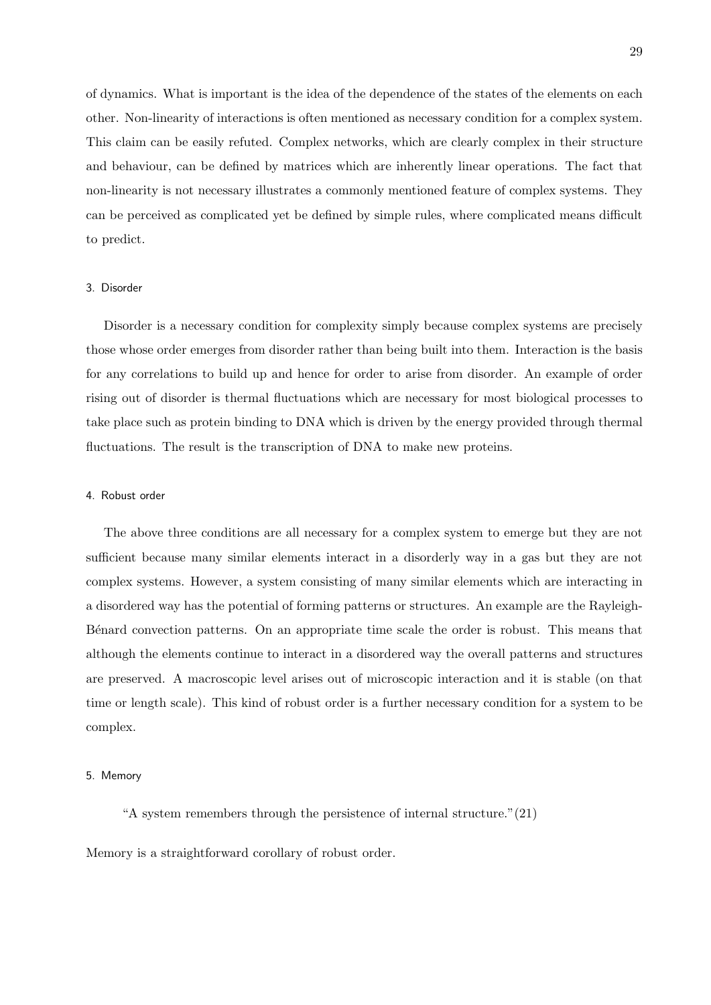of dynamics. What is important is the idea of the dependence of the states of the elements on each other. Non-linearity of interactions is often mentioned as necessary condition for a complex system. This claim can be easily refuted. Complex networks, which are clearly complex in their structure and behaviour, can be defined by matrices which are inherently linear operations. The fact that non-linearity is not necessary illustrates a commonly mentioned feature of complex systems. They can be perceived as complicated yet be defined by simple rules, where complicated means difficult to predict.

#### 3. Disorder

Disorder is a necessary condition for complexity simply because complex systems are precisely those whose order emerges from disorder rather than being built into them. Interaction is the basis for any correlations to build up and hence for order to arise from disorder. An example of order rising out of disorder is thermal fluctuations which are necessary for most biological processes to take place such as protein binding to DNA which is driven by the energy provided through thermal fluctuations. The result is the transcription of DNA to make new proteins.

#### 4. Robust order

The above three conditions are all necessary for a complex system to emerge but they are not sufficient because many similar elements interact in a disorderly way in a gas but they are not complex systems. However, a system consisting of many similar elements which are interacting in a disordered way has the potential of forming patterns or structures. An example are the Rayleigh-B´enard convection patterns. On an appropriate time scale the order is robust. This means that although the elements continue to interact in a disordered way the overall patterns and structures are preserved. A macroscopic level arises out of microscopic interaction and it is stable (on that time or length scale). This kind of robust order is a further necessary condition for a system to be complex.

#### 5. Memory

"A system remembers through the persistence of internal structure."(21)

Memory is a straightforward corollary of robust order.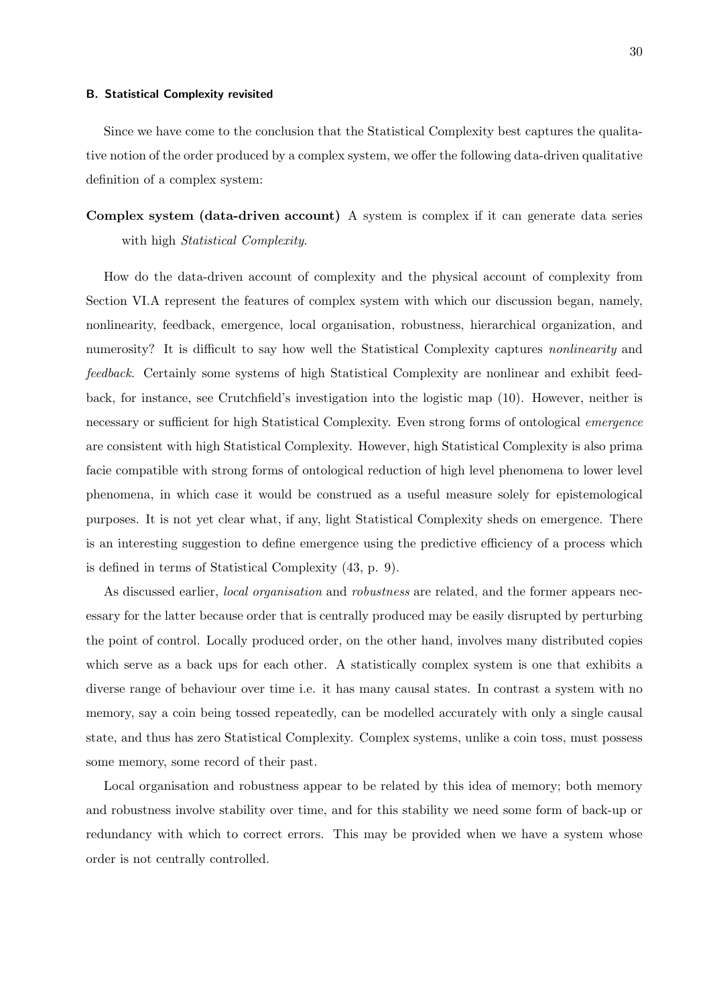#### B. Statistical Complexity revisited

Since we have come to the conclusion that the Statistical Complexity best captures the qualitative notion of the order produced by a complex system, we offer the following data-driven qualitative definition of a complex system:

# Complex system (data-driven account) A system is complex if it can generate data series with high Statistical Complexity.

How do the data-driven account of complexity and the physical account of complexity from Section VI.A represent the features of complex system with which our discussion began, namely, nonlinearity, feedback, emergence, local organisation, robustness, hierarchical organization, and numerosity? It is difficult to say how well the Statistical Complexity captures nonlinearity and feedback. Certainly some systems of high Statistical Complexity are nonlinear and exhibit feedback, for instance, see Crutchfield's investigation into the logistic map (10). However, neither is necessary or sufficient for high Statistical Complexity. Even strong forms of ontological emergence are consistent with high Statistical Complexity. However, high Statistical Complexity is also prima facie compatible with strong forms of ontological reduction of high level phenomena to lower level phenomena, in which case it would be construed as a useful measure solely for epistemological purposes. It is not yet clear what, if any, light Statistical Complexity sheds on emergence. There is an interesting suggestion to define emergence using the predictive efficiency of a process which is defined in terms of Statistical Complexity (43, p. 9).

As discussed earlier, *local organisation* and *robustness* are related, and the former appears necessary for the latter because order that is centrally produced may be easily disrupted by perturbing the point of control. Locally produced order, on the other hand, involves many distributed copies which serve as a back ups for each other. A statistically complex system is one that exhibits a diverse range of behaviour over time i.e. it has many causal states. In contrast a system with no memory, say a coin being tossed repeatedly, can be modelled accurately with only a single causal state, and thus has zero Statistical Complexity. Complex systems, unlike a coin toss, must possess some memory, some record of their past.

Local organisation and robustness appear to be related by this idea of memory; both memory and robustness involve stability over time, and for this stability we need some form of back-up or redundancy with which to correct errors. This may be provided when we have a system whose order is not centrally controlled.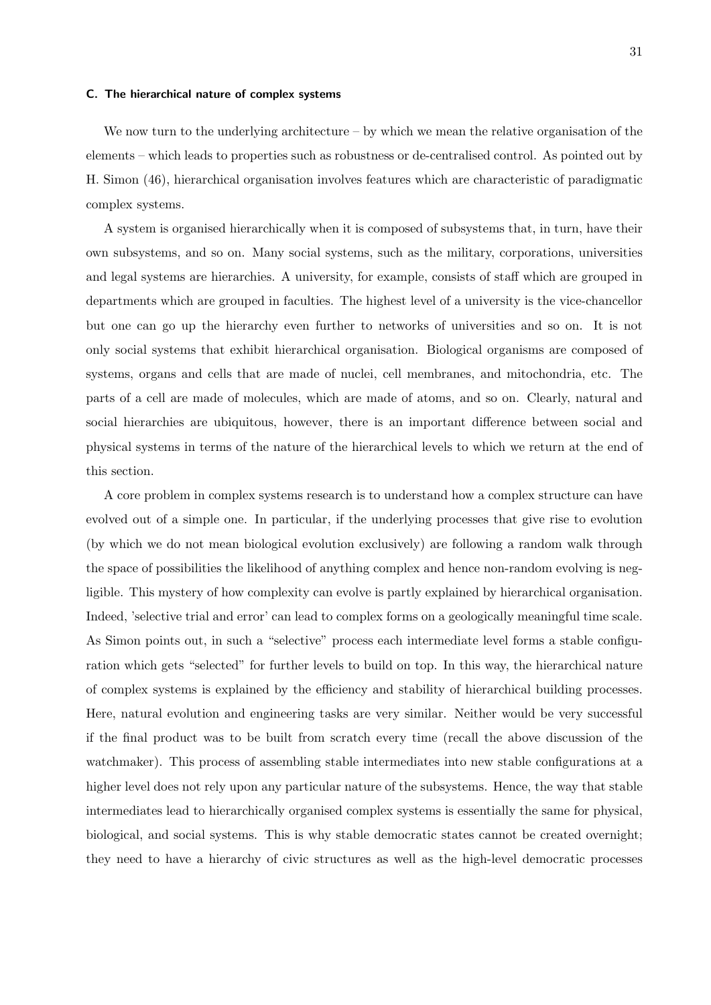#### C. The hierarchical nature of complex systems

We now turn to the underlying architecture  $-$  by which we mean the relative organisation of the elements – which leads to properties such as robustness or de-centralised control. As pointed out by H. Simon (46), hierarchical organisation involves features which are characteristic of paradigmatic complex systems.

A system is organised hierarchically when it is composed of subsystems that, in turn, have their own subsystems, and so on. Many social systems, such as the military, corporations, universities and legal systems are hierarchies. A university, for example, consists of staff which are grouped in departments which are grouped in faculties. The highest level of a university is the vice-chancellor but one can go up the hierarchy even further to networks of universities and so on. It is not only social systems that exhibit hierarchical organisation. Biological organisms are composed of systems, organs and cells that are made of nuclei, cell membranes, and mitochondria, etc. The parts of a cell are made of molecules, which are made of atoms, and so on. Clearly, natural and social hierarchies are ubiquitous, however, there is an important difference between social and physical systems in terms of the nature of the hierarchical levels to which we return at the end of this section.

A core problem in complex systems research is to understand how a complex structure can have evolved out of a simple one. In particular, if the underlying processes that give rise to evolution (by which we do not mean biological evolution exclusively) are following a random walk through the space of possibilities the likelihood of anything complex and hence non-random evolving is negligible. This mystery of how complexity can evolve is partly explained by hierarchical organisation. Indeed, 'selective trial and error' can lead to complex forms on a geologically meaningful time scale. As Simon points out, in such a "selective" process each intermediate level forms a stable configuration which gets "selected" for further levels to build on top. In this way, the hierarchical nature of complex systems is explained by the efficiency and stability of hierarchical building processes. Here, natural evolution and engineering tasks are very similar. Neither would be very successful if the final product was to be built from scratch every time (recall the above discussion of the watchmaker). This process of assembling stable intermediates into new stable configurations at a higher level does not rely upon any particular nature of the subsystems. Hence, the way that stable intermediates lead to hierarchically organised complex systems is essentially the same for physical, biological, and social systems. This is why stable democratic states cannot be created overnight; they need to have a hierarchy of civic structures as well as the high-level democratic processes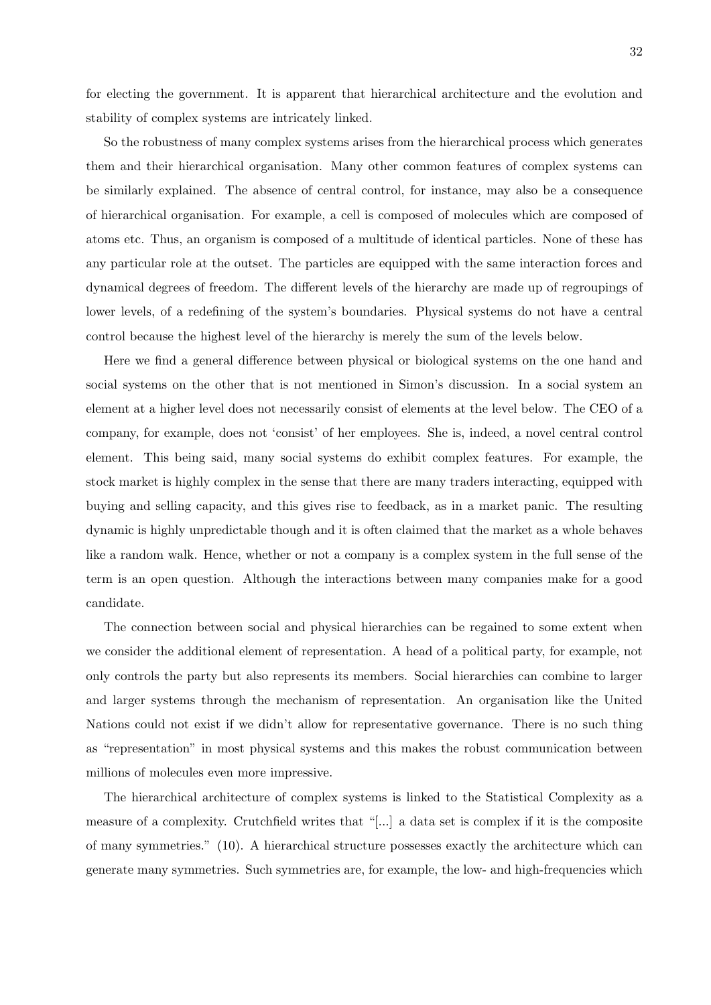for electing the government. It is apparent that hierarchical architecture and the evolution and stability of complex systems are intricately linked.

So the robustness of many complex systems arises from the hierarchical process which generates them and their hierarchical organisation. Many other common features of complex systems can be similarly explained. The absence of central control, for instance, may also be a consequence of hierarchical organisation. For example, a cell is composed of molecules which are composed of atoms etc. Thus, an organism is composed of a multitude of identical particles. None of these has any particular role at the outset. The particles are equipped with the same interaction forces and dynamical degrees of freedom. The different levels of the hierarchy are made up of regroupings of lower levels, of a redefining of the system's boundaries. Physical systems do not have a central control because the highest level of the hierarchy is merely the sum of the levels below.

Here we find a general difference between physical or biological systems on the one hand and social systems on the other that is not mentioned in Simon's discussion. In a social system an element at a higher level does not necessarily consist of elements at the level below. The CEO of a company, for example, does not 'consist' of her employees. She is, indeed, a novel central control element. This being said, many social systems do exhibit complex features. For example, the stock market is highly complex in the sense that there are many traders interacting, equipped with buying and selling capacity, and this gives rise to feedback, as in a market panic. The resulting dynamic is highly unpredictable though and it is often claimed that the market as a whole behaves like a random walk. Hence, whether or not a company is a complex system in the full sense of the term is an open question. Although the interactions between many companies make for a good candidate.

The connection between social and physical hierarchies can be regained to some extent when we consider the additional element of representation. A head of a political party, for example, not only controls the party but also represents its members. Social hierarchies can combine to larger and larger systems through the mechanism of representation. An organisation like the United Nations could not exist if we didn't allow for representative governance. There is no such thing as "representation" in most physical systems and this makes the robust communication between millions of molecules even more impressive.

The hierarchical architecture of complex systems is linked to the Statistical Complexity as a measure of a complexity. Crutchfield writes that "[...] a data set is complex if it is the composite of many symmetries." (10). A hierarchical structure possesses exactly the architecture which can generate many symmetries. Such symmetries are, for example, the low- and high-frequencies which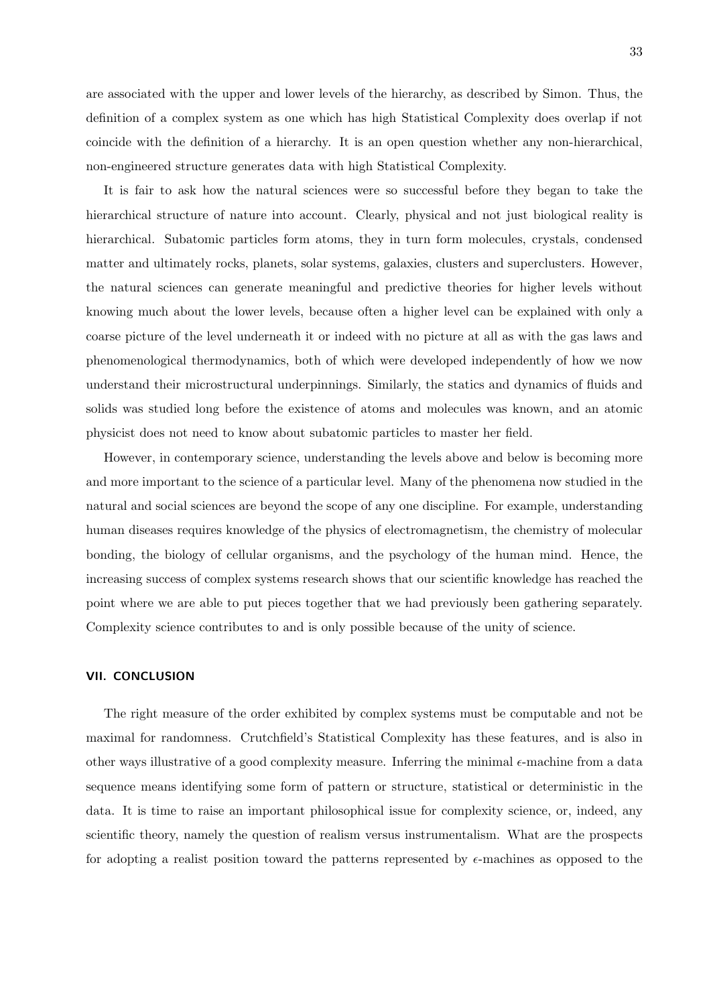are associated with the upper and lower levels of the hierarchy, as described by Simon. Thus, the definition of a complex system as one which has high Statistical Complexity does overlap if not coincide with the definition of a hierarchy. It is an open question whether any non-hierarchical, non-engineered structure generates data with high Statistical Complexity.

It is fair to ask how the natural sciences were so successful before they began to take the hierarchical structure of nature into account. Clearly, physical and not just biological reality is hierarchical. Subatomic particles form atoms, they in turn form molecules, crystals, condensed matter and ultimately rocks, planets, solar systems, galaxies, clusters and superclusters. However, the natural sciences can generate meaningful and predictive theories for higher levels without knowing much about the lower levels, because often a higher level can be explained with only a coarse picture of the level underneath it or indeed with no picture at all as with the gas laws and phenomenological thermodynamics, both of which were developed independently of how we now understand their microstructural underpinnings. Similarly, the statics and dynamics of fluids and solids was studied long before the existence of atoms and molecules was known, and an atomic physicist does not need to know about subatomic particles to master her field.

However, in contemporary science, understanding the levels above and below is becoming more and more important to the science of a particular level. Many of the phenomena now studied in the natural and social sciences are beyond the scope of any one discipline. For example, understanding human diseases requires knowledge of the physics of electromagnetism, the chemistry of molecular bonding, the biology of cellular organisms, and the psychology of the human mind. Hence, the increasing success of complex systems research shows that our scientific knowledge has reached the point where we are able to put pieces together that we had previously been gathering separately. Complexity science contributes to and is only possible because of the unity of science.

## VII. CONCLUSION

The right measure of the order exhibited by complex systems must be computable and not be maximal for randomness. Crutchfield's Statistical Complexity has these features, and is also in other ways illustrative of a good complexity measure. Inferring the minimal  $\epsilon$ -machine from a data sequence means identifying some form of pattern or structure, statistical or deterministic in the data. It is time to raise an important philosophical issue for complexity science, or, indeed, any scientific theory, namely the question of realism versus instrumentalism. What are the prospects for adopting a realist position toward the patterns represented by  $\epsilon$ -machines as opposed to the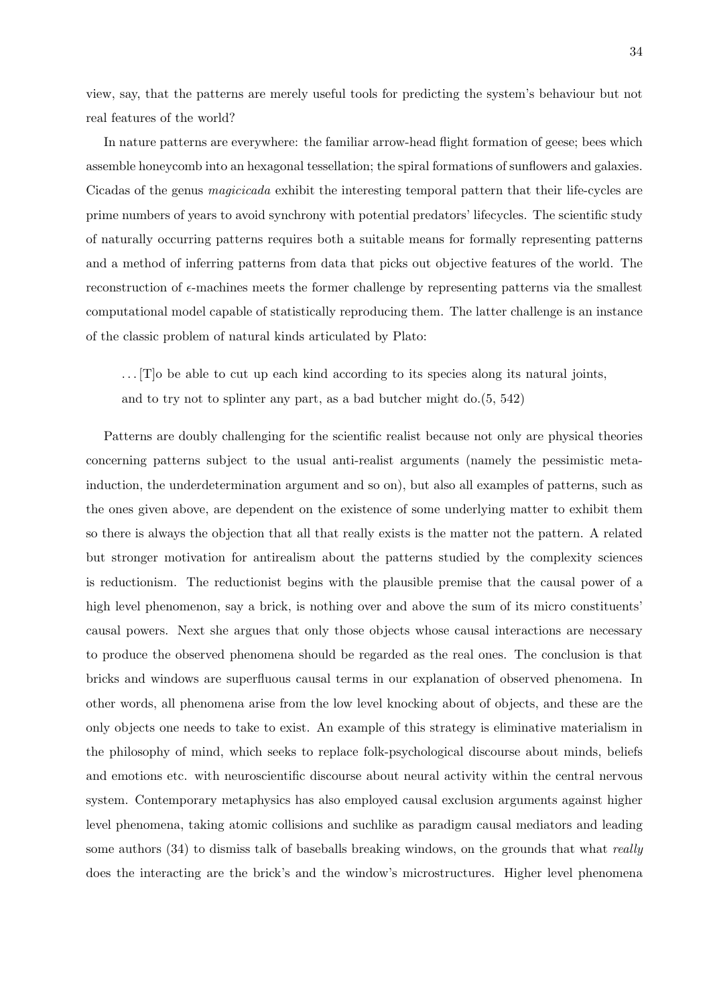view, say, that the patterns are merely useful tools for predicting the system's behaviour but not real features of the world?

In nature patterns are everywhere: the familiar arrow-head flight formation of geese; bees which assemble honeycomb into an hexagonal tessellation; the spiral formations of sunflowers and galaxies. Cicadas of the genus magicicada exhibit the interesting temporal pattern that their life-cycles are prime numbers of years to avoid synchrony with potential predators' lifecycles. The scientific study of naturally occurring patterns requires both a suitable means for formally representing patterns and a method of inferring patterns from data that picks out objective features of the world. The reconstruction of  $\epsilon$ -machines meets the former challenge by representing patterns via the smallest computational model capable of statistically reproducing them. The latter challenge is an instance of the classic problem of natural kinds articulated by Plato:

. . . [T]o be able to cut up each kind according to its species along its natural joints, and to try not to splinter any part, as a bad butcher might do.(5, 542)

Patterns are doubly challenging for the scientific realist because not only are physical theories concerning patterns subject to the usual anti-realist arguments (namely the pessimistic metainduction, the underdetermination argument and so on), but also all examples of patterns, such as the ones given above, are dependent on the existence of some underlying matter to exhibit them so there is always the objection that all that really exists is the matter not the pattern. A related but stronger motivation for antirealism about the patterns studied by the complexity sciences is reductionism. The reductionist begins with the plausible premise that the causal power of a high level phenomenon, say a brick, is nothing over and above the sum of its micro constituents' causal powers. Next she argues that only those objects whose causal interactions are necessary to produce the observed phenomena should be regarded as the real ones. The conclusion is that bricks and windows are superfluous causal terms in our explanation of observed phenomena. In other words, all phenomena arise from the low level knocking about of objects, and these are the only objects one needs to take to exist. An example of this strategy is eliminative materialism in the philosophy of mind, which seeks to replace folk-psychological discourse about minds, beliefs and emotions etc. with neuroscientific discourse about neural activity within the central nervous system. Contemporary metaphysics has also employed causal exclusion arguments against higher level phenomena, taking atomic collisions and suchlike as paradigm causal mediators and leading some authors (34) to dismiss talk of baseballs breaking windows, on the grounds that what *really* does the interacting are the brick's and the window's microstructures. Higher level phenomena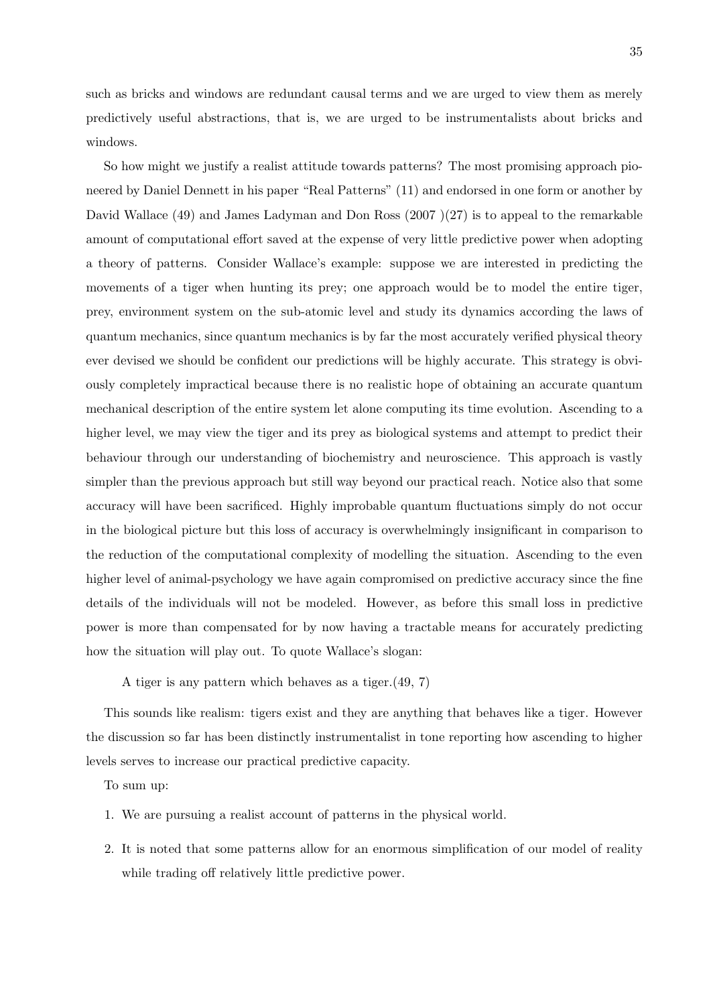such as bricks and windows are redundant causal terms and we are urged to view them as merely predictively useful abstractions, that is, we are urged to be instrumentalists about bricks and windows.

So how might we justify a realist attitude towards patterns? The most promising approach pioneered by Daniel Dennett in his paper "Real Patterns" (11) and endorsed in one form or another by David Wallace  $(49)$  and James Ladyman and Don Ross  $(2007)(27)$  is to appeal to the remarkable amount of computational effort saved at the expense of very little predictive power when adopting a theory of patterns. Consider Wallace's example: suppose we are interested in predicting the movements of a tiger when hunting its prey; one approach would be to model the entire tiger, prey, environment system on the sub-atomic level and study its dynamics according the laws of quantum mechanics, since quantum mechanics is by far the most accurately verified physical theory ever devised we should be confident our predictions will be highly accurate. This strategy is obviously completely impractical because there is no realistic hope of obtaining an accurate quantum mechanical description of the entire system let alone computing its time evolution. Ascending to a higher level, we may view the tiger and its prey as biological systems and attempt to predict their behaviour through our understanding of biochemistry and neuroscience. This approach is vastly simpler than the previous approach but still way beyond our practical reach. Notice also that some accuracy will have been sacrificed. Highly improbable quantum fluctuations simply do not occur in the biological picture but this loss of accuracy is overwhelmingly insignificant in comparison to the reduction of the computational complexity of modelling the situation. Ascending to the even higher level of animal-psychology we have again compromised on predictive accuracy since the fine details of the individuals will not be modeled. However, as before this small loss in predictive power is more than compensated for by now having a tractable means for accurately predicting how the situation will play out. To quote Wallace's slogan:

A tiger is any pattern which behaves as a tiger.(49, 7)

This sounds like realism: tigers exist and they are anything that behaves like a tiger. However the discussion so far has been distinctly instrumentalist in tone reporting how ascending to higher levels serves to increase our practical predictive capacity.

To sum up:

- 1. We are pursuing a realist account of patterns in the physical world.
- 2. It is noted that some patterns allow for an enormous simplification of our model of reality while trading off relatively little predictive power.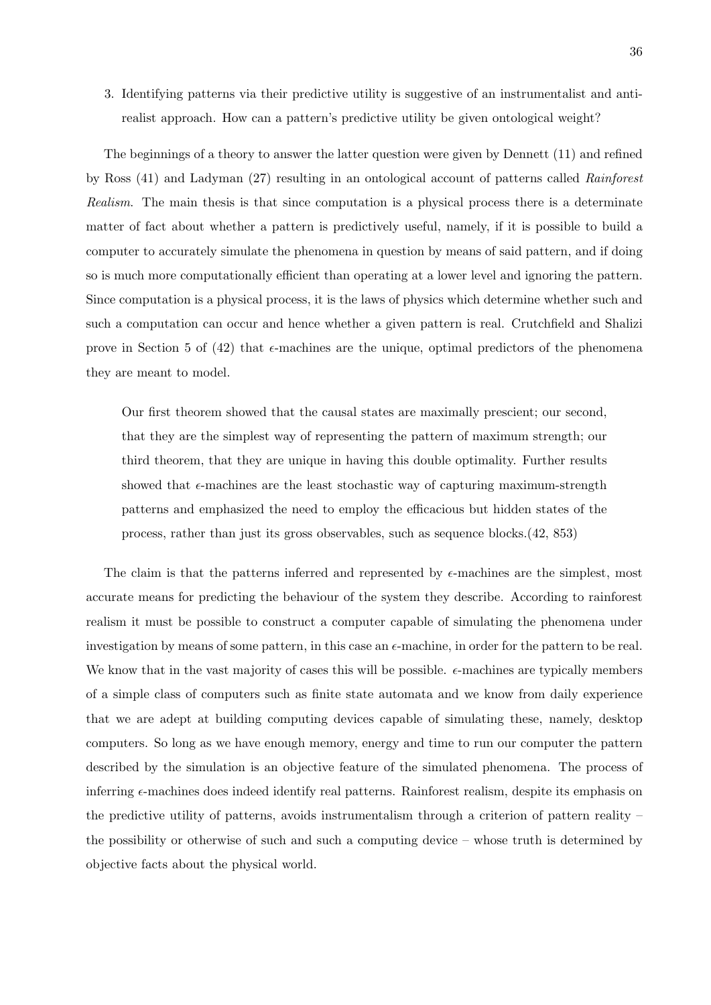3. Identifying patterns via their predictive utility is suggestive of an instrumentalist and antirealist approach. How can a pattern's predictive utility be given ontological weight?

The beginnings of a theory to answer the latter question were given by Dennett (11) and refined by Ross (41) and Ladyman (27) resulting in an ontological account of patterns called Rainforest Realism. The main thesis is that since computation is a physical process there is a determinate matter of fact about whether a pattern is predictively useful, namely, if it is possible to build a computer to accurately simulate the phenomena in question by means of said pattern, and if doing so is much more computationally efficient than operating at a lower level and ignoring the pattern. Since computation is a physical process, it is the laws of physics which determine whether such and such a computation can occur and hence whether a given pattern is real. Crutchfield and Shalizi prove in Section 5 of  $(42)$  that  $\epsilon$ -machines are the unique, optimal predictors of the phenomena they are meant to model.

Our first theorem showed that the causal states are maximally prescient; our second, that they are the simplest way of representing the pattern of maximum strength; our third theorem, that they are unique in having this double optimality. Further results showed that  $\epsilon$ -machines are the least stochastic way of capturing maximum-strength patterns and emphasized the need to employ the efficacious but hidden states of the process, rather than just its gross observables, such as sequence blocks.(42, 853)

The claim is that the patterns inferred and represented by  $\epsilon$ -machines are the simplest, most accurate means for predicting the behaviour of the system they describe. According to rainforest realism it must be possible to construct a computer capable of simulating the phenomena under investigation by means of some pattern, in this case an  $\epsilon$ -machine, in order for the pattern to be real. We know that in the vast majority of cases this will be possible.  $\epsilon$ -machines are typically members of a simple class of computers such as finite state automata and we know from daily experience that we are adept at building computing devices capable of simulating these, namely, desktop computers. So long as we have enough memory, energy and time to run our computer the pattern described by the simulation is an objective feature of the simulated phenomena. The process of inferring  $\epsilon$ -machines does indeed identify real patterns. Rainforest realism, despite its emphasis on the predictive utility of patterns, avoids instrumentalism through a criterion of pattern reality – the possibility or otherwise of such and such a computing device – whose truth is determined by objective facts about the physical world.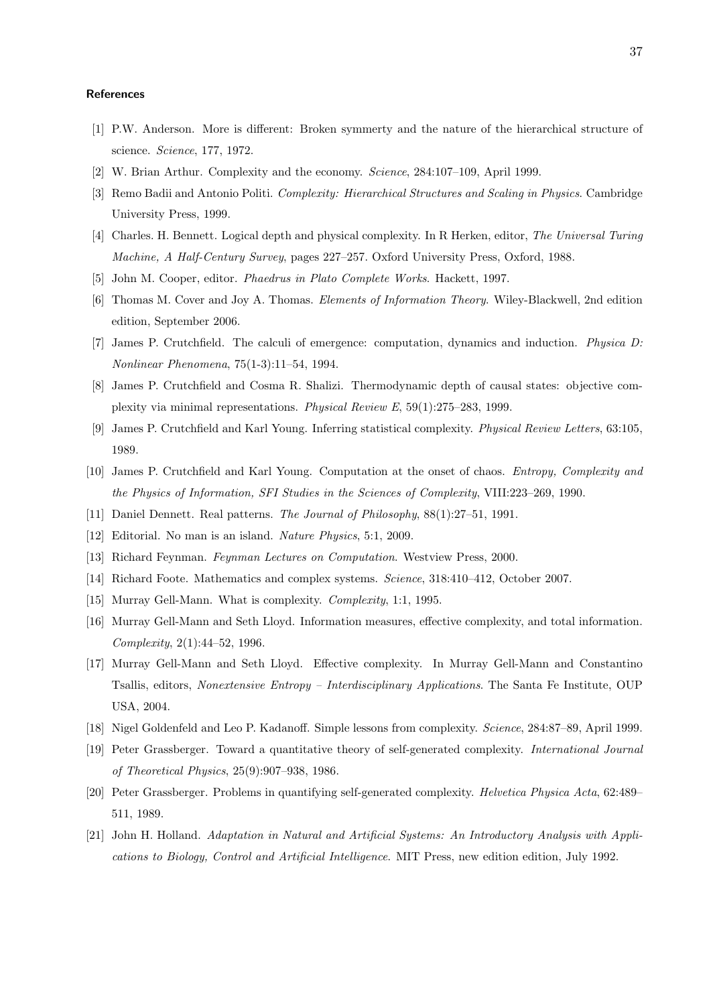#### **References**

- [1] P.W. Anderson. More is different: Broken symmerty and the nature of the hierarchical structure of science. Science, 177, 1972.
- [2] W. Brian Arthur. Complexity and the economy. Science, 284:107–109, April 1999.
- [3] Remo Badii and Antonio Politi. Complexity: Hierarchical Structures and Scaling in Physics. Cambridge University Press, 1999.
- [4] Charles. H. Bennett. Logical depth and physical complexity. In R Herken, editor, The Universal Turing Machine, A Half-Century Survey, pages 227–257. Oxford University Press, Oxford, 1988.
- [5] John M. Cooper, editor. Phaedrus in Plato Complete Works. Hackett, 1997.
- [6] Thomas M. Cover and Joy A. Thomas. Elements of Information Theory. Wiley-Blackwell, 2nd edition edition, September 2006.
- [7] James P. Crutchfield. The calculi of emergence: computation, dynamics and induction. Physica D: Nonlinear Phenomena, 75(1-3):11–54, 1994.
- [8] James P. Crutchfield and Cosma R. Shalizi. Thermodynamic depth of causal states: objective complexity via minimal representations. Physical Review E, 59(1):275–283, 1999.
- [9] James P. Crutchfield and Karl Young. Inferring statistical complexity. Physical Review Letters, 63:105, 1989.
- [10] James P. Crutchfield and Karl Young. Computation at the onset of chaos. Entropy, Complexity and the Physics of Information, SFI Studies in the Sciences of Complexity, VIII:223–269, 1990.
- [11] Daniel Dennett. Real patterns. The Journal of Philosophy, 88(1):27–51, 1991.
- [12] Editorial. No man is an island. Nature Physics, 5:1, 2009.
- [13] Richard Feynman. Feynman Lectures on Computation. Westview Press, 2000.
- [14] Richard Foote. Mathematics and complex systems. Science, 318:410–412, October 2007.
- [15] Murray Gell-Mann. What is complexity. *Complexity*, 1:1, 1995.
- [16] Murray Gell-Mann and Seth Lloyd. Information measures, effective complexity, and total information. Complexity, 2(1):44–52, 1996.
- [17] Murray Gell-Mann and Seth Lloyd. Effective complexity. In Murray Gell-Mann and Constantino Tsallis, editors, Nonextensive Entropy – Interdisciplinary Applications. The Santa Fe Institute, OUP USA, 2004.
- [18] Nigel Goldenfeld and Leo P. Kadanoff. Simple lessons from complexity. Science, 284:87–89, April 1999.
- [19] Peter Grassberger. Toward a quantitative theory of self-generated complexity. International Journal of Theoretical Physics, 25(9):907–938, 1986.
- [20] Peter Grassberger. Problems in quantifying self-generated complexity. Helvetica Physica Acta, 62:489– 511, 1989.
- [21] John H. Holland. Adaptation in Natural and Artificial Systems: An Introductory Analysis with Applications to Biology, Control and Artificial Intelligence. MIT Press, new edition edition, July 1992.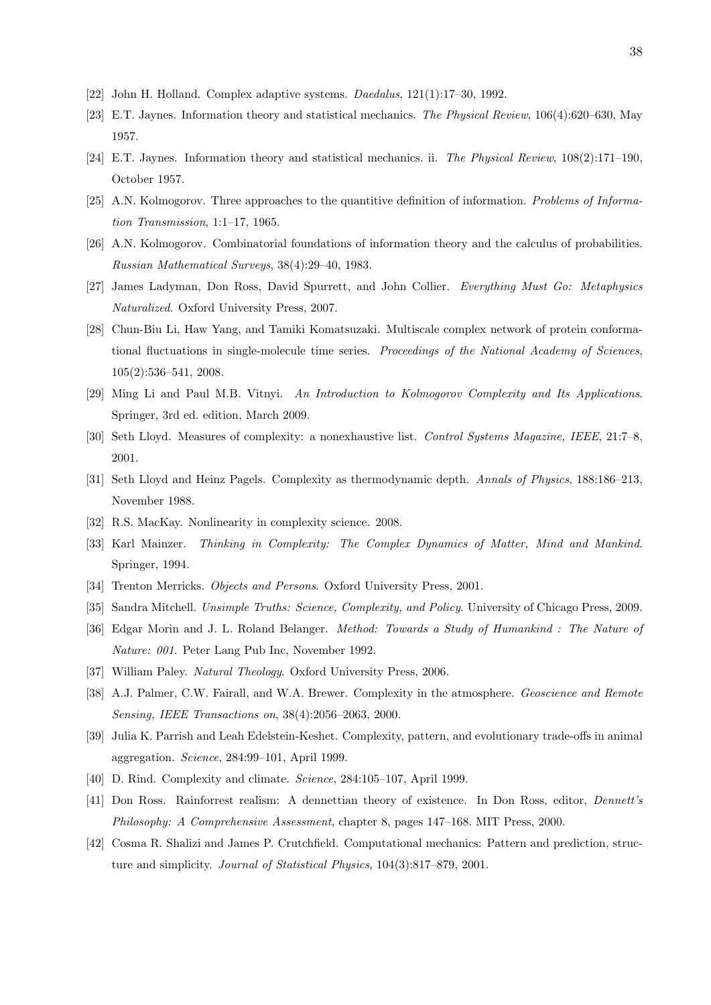- [22] John H. Holland. Complex adaptive systems. Daedalus, 121(1):17–30, 1992.
- [23] E.T. Jaynes. Information theory and statistical mechanics. The Physical Review, 106(4):620–630, May 1957.
- [24] E.T. Jaynes. Information theory and statistical mechanics. ii. The Physical Review, 108(2):171–190, October 1957.
- [25] A.N. Kolmogorov. Three approaches to the quantitive definition of information. Problems of Information Transmission, 1:1–17, 1965.
- [26] A.N. Kolmogorov. Combinatorial foundations of information theory and the calculus of probabilities. Russian Mathematical Surveys, 38(4):29–40, 1983.
- [27] James Ladyman, Don Ross, David Spurrett, and John Collier. Everything Must Go: Metaphysics Naturalized. Oxford University Press, 2007.
- [28] Chun-Biu Li, Haw Yang, and Tamiki Komatsuzaki. Multiscale complex network of protein conformational fluctuations in single-molecule time series. Proceedings of the National Academy of Sciences, 105(2):536–541, 2008.
- [29] Ming Li and Paul M.B. Vitnyi. An Introduction to Kolmogorov Complexity and Its Applications. Springer, 3rd ed. edition, March 2009.
- [30] Seth Lloyd. Measures of complexity: a nonexhaustive list. Control Systems Magazine, IEEE, 21:7–8, 2001.
- [31] Seth Lloyd and Heinz Pagels. Complexity as thermodynamic depth. Annals of Physics, 188:186–213, November 1988.
- [32] R.S. MacKay. Nonlinearity in complexity science. 2008.
- [33] Karl Mainzer. Thinking in Complexity: The Complex Dynamics of Matter, Mind and Mankind. Springer, 1994.
- [34] Trenton Merricks. Objects and Persons. Oxford University Press, 2001.
- [35] Sandra Mitchell. Unsimple Truths: Science, Complexity, and Policy. University of Chicago Press, 2009.
- [36] Edgar Morin and J. L. Roland Belanger. Method: Towards a Study of Humankind : The Nature of Nature: 001. Peter Lang Pub Inc, November 1992.
- [37] William Paley. Natural Theology. Oxford University Press, 2006.
- [38] A.J. Palmer, C.W. Fairall, and W.A. Brewer. Complexity in the atmosphere. Geoscience and Remote Sensing, IEEE Transactions on, 38(4):2056–2063, 2000.
- [39] Julia K. Parrish and Leah Edelstein-Keshet. Complexity, pattern, and evolutionary trade-offs in animal aggregation. Science, 284:99–101, April 1999.
- [40] D. Rind. Complexity and climate. Science, 284:105–107, April 1999.
- [41] Don Ross. Rainforrest realism: A dennettian theory of existence. In Don Ross, editor, Dennett's Philosophy: A Comprehensive Assessment, chapter 8, pages 147–168. MIT Press, 2000.
- [42] Cosma R. Shalizi and James P. Crutchfield. Computational mechanics: Pattern and prediction, structure and simplicity. Journal of Statistical Physics, 104(3):817–879, 2001.